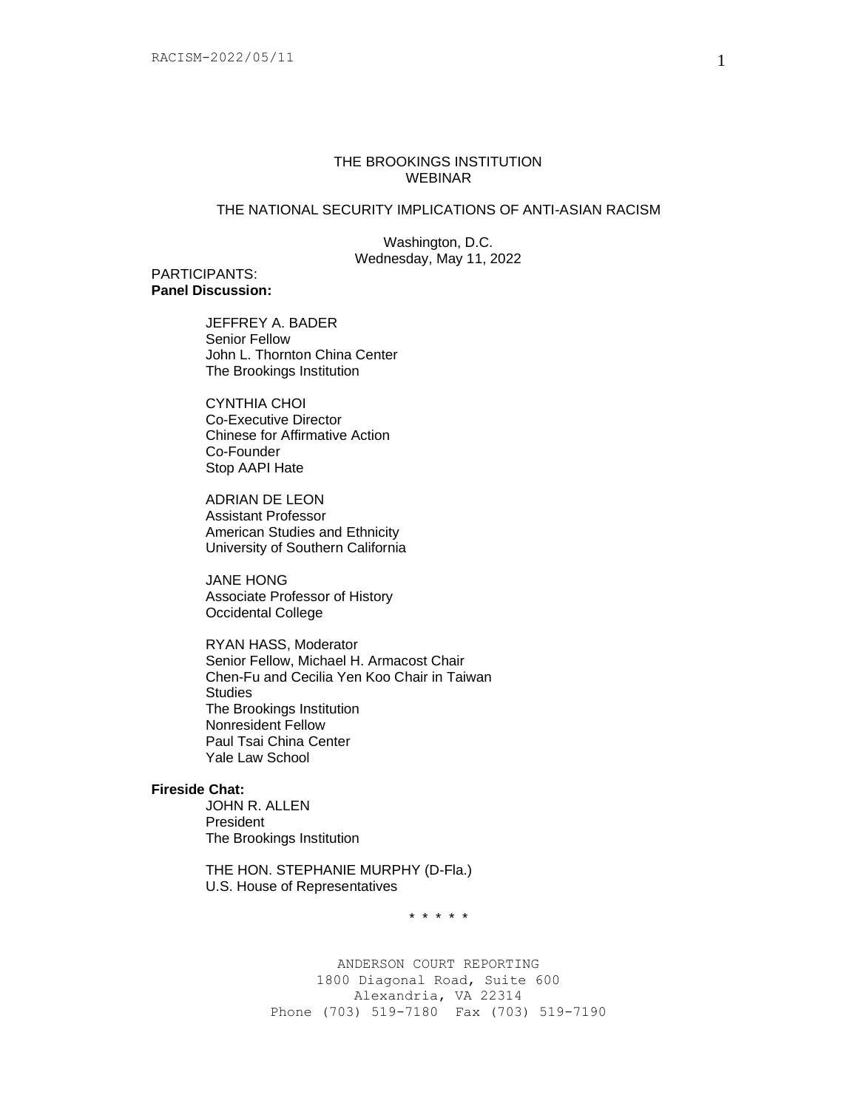# THE BROOKINGS INSTITUTION WEBINAR

# THE NATIONAL SECURITY IMPLICATIONS OF ANTI-ASIAN RACISM

Washington, D.C. Wednesday, May 11, 2022

### PARTICIPANTS: **Panel Discussion:**

JEFFREY A. BADER Senior Fellow John L. Thornton China Center The Brookings Institution

CYNTHIA CHOI Co-Executive Director Chinese for Affirmative Action Co-Founder Stop AAPI Hate

ADRIAN DE LEON Assistant Professor American Studies and Ethnicity University of Southern California

JANE HONG Associate Professor of History Occidental College

RYAN HASS, Moderator Senior Fellow, Michael H. Armacost Chair Chen-Fu and Cecilia Yen Koo Chair in Taiwan **Studies** The Brookings Institution Nonresident Fellow Paul Tsai China Center Yale Law School

# **Fireside Chat:**

JOHN R. ALLEN President The Brookings Institution

THE HON. STEPHANIE MURPHY (D-Fla.) U.S. House of Representatives

\* \* \* \* \*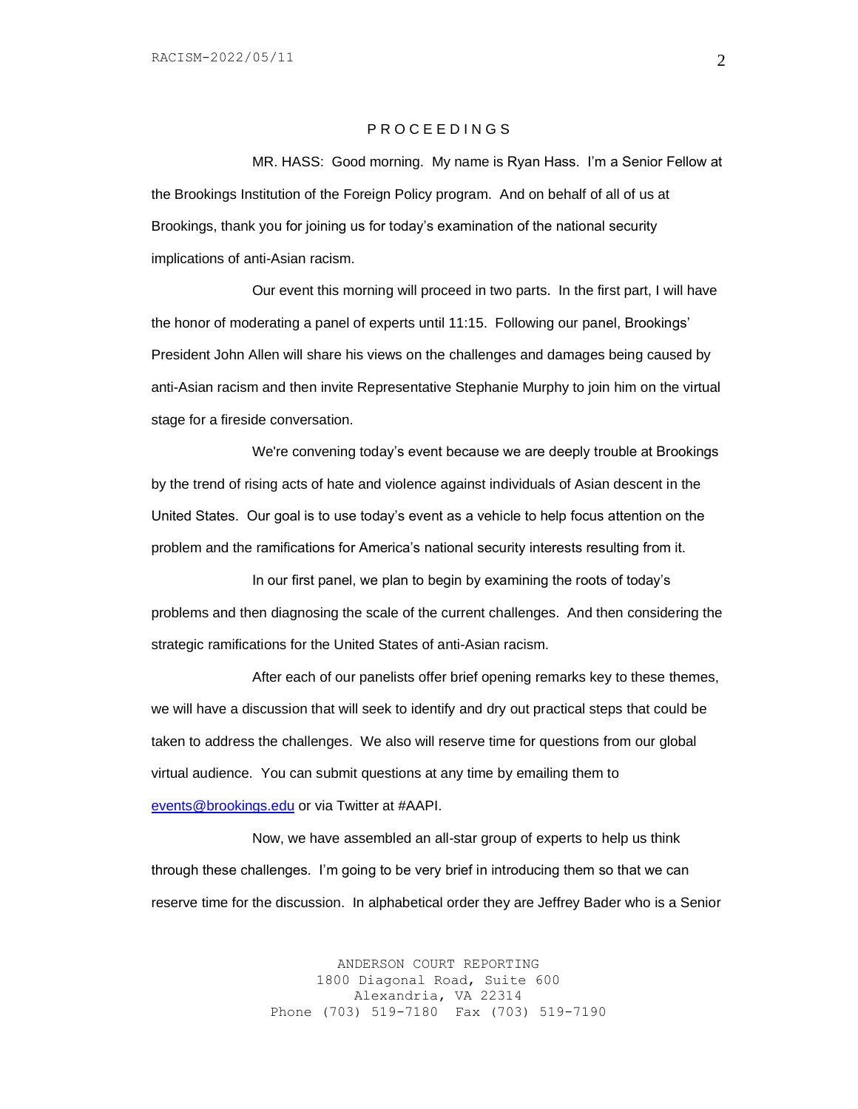#### P R O C E E D I N G S

MR. HASS: Good morning. My name is Ryan Hass. I'm a Senior Fellow at the Brookings Institution of the Foreign Policy program. And on behalf of all of us at Brookings, thank you for joining us for today's examination of the national security implications of anti-Asian racism.

Our event this morning will proceed in two parts. In the first part, I will have the honor of moderating a panel of experts until 11:15. Following our panel, Brookings' President John Allen will share his views on the challenges and damages being caused by anti-Asian racism and then invite Representative Stephanie Murphy to join him on the virtual stage for a fireside conversation.

We're convening today's event because we are deeply trouble at Brookings by the trend of rising acts of hate and violence against individuals of Asian descent in the United States. Our goal is to use today's event as a vehicle to help focus attention on the problem and the ramifications for America's national security interests resulting from it.

In our first panel, we plan to begin by examining the roots of today's problems and then diagnosing the scale of the current challenges. And then considering the strategic ramifications for the United States of anti-Asian racism.

After each of our panelists offer brief opening remarks key to these themes, we will have a discussion that will seek to identify and dry out practical steps that could be taken to address the challenges. We also will reserve time for questions from our global virtual audience. You can submit questions at any time by emailing them to [events@brookings.edu](mailto:events@brookings.edu) or via Twitter at #AAPI.

Now, we have assembled an all-star group of experts to help us think through these challenges. I'm going to be very brief in introducing them so that we can reserve time for the discussion. In alphabetical order they are Jeffrey Bader who is a Senior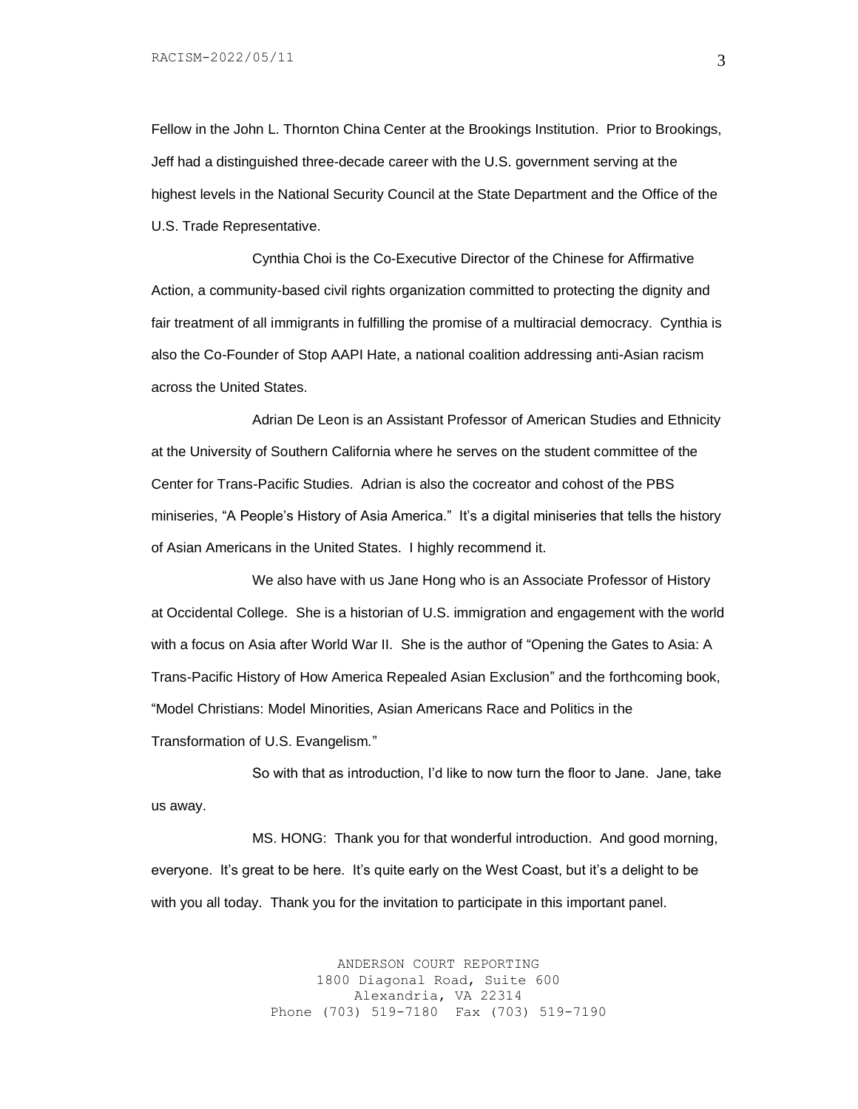Fellow in the John L. Thornton China Center at the Brookings Institution. Prior to Brookings, Jeff had a distinguished three-decade career with the U.S. government serving at the highest levels in the National Security Council at the State Department and the Office of the U.S. Trade Representative.

Cynthia Choi is the Co-Executive Director of the Chinese for Affirmative Action, a community-based civil rights organization committed to protecting the dignity and fair treatment of all immigrants in fulfilling the promise of a multiracial democracy. Cynthia is also the Co-Founder of Stop AAPI Hate, a national coalition addressing anti-Asian racism across the United States.

Adrian De Leon is an Assistant Professor of American Studies and Ethnicity at the University of Southern California where he serves on the student committee of the Center for Trans-Pacific Studies. Adrian is also the cocreator and cohost of the PBS miniseries, "A People's History of Asia America." It's a digital miniseries that tells the history of Asian Americans in the United States. I highly recommend it.

We also have with us Jane Hong who is an Associate Professor of History at Occidental College. She is a historian of U.S. immigration and engagement with the world with a focus on Asia after World War II. She is the author of "Opening the Gates to Asia: A Trans-Pacific History of How America Repealed Asian Exclusion" and the forthcoming book, "Model Christians: Model Minorities, Asian Americans Race and Politics in the Transformation of U.S. Evangelism*.*"

So with that as introduction, I'd like to now turn the floor to Jane. Jane, take us away.

MS. HONG: Thank you for that wonderful introduction. And good morning, everyone. It's great to be here. It's quite early on the West Coast, but it's a delight to be with you all today. Thank you for the invitation to participate in this important panel.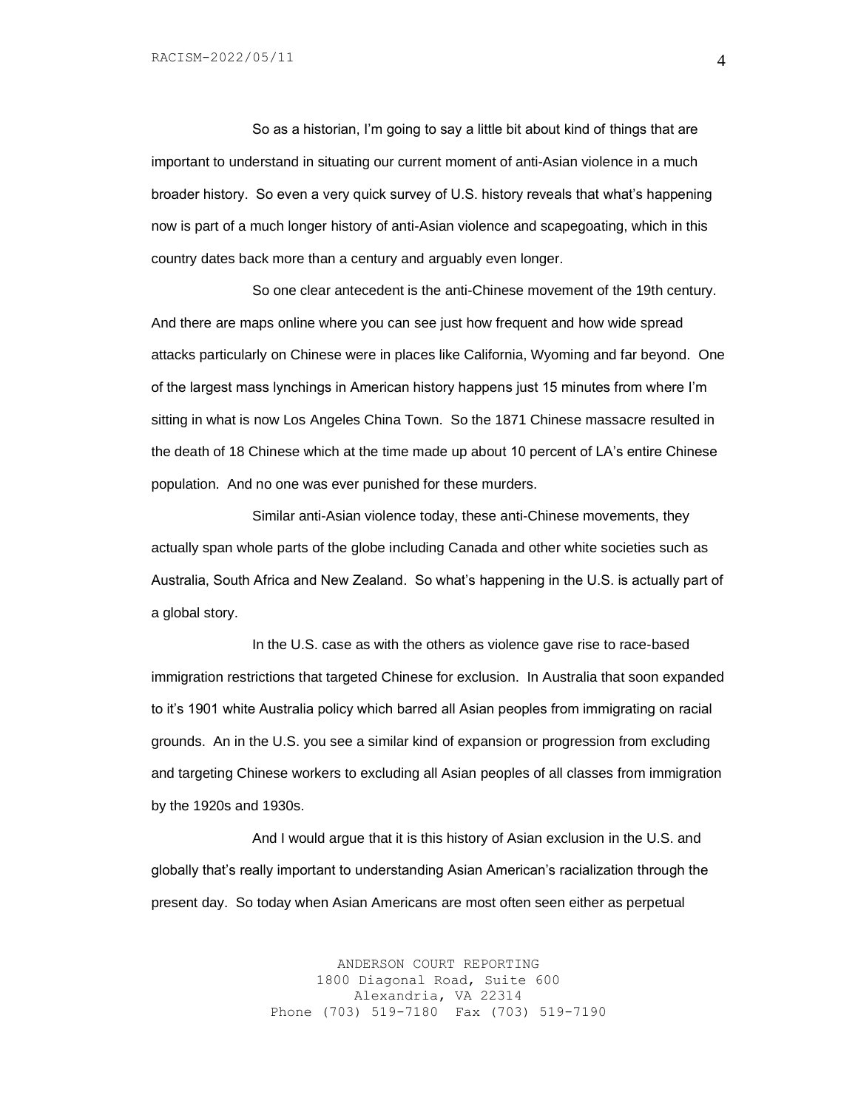So as a historian, I'm going to say a little bit about kind of things that are important to understand in situating our current moment of anti-Asian violence in a much broader history. So even a very quick survey of U.S. history reveals that what's happening now is part of a much longer history of anti-Asian violence and scapegoating, which in this country dates back more than a century and arguably even longer.

So one clear antecedent is the anti-Chinese movement of the 19th century. And there are maps online where you can see just how frequent and how wide spread attacks particularly on Chinese were in places like California, Wyoming and far beyond. One of the largest mass lynchings in American history happens just 15 minutes from where I'm sitting in what is now Los Angeles China Town. So the 1871 Chinese massacre resulted in the death of 18 Chinese which at the time made up about 10 percent of LA's entire Chinese population. And no one was ever punished for these murders.

Similar anti-Asian violence today, these anti-Chinese movements, they actually span whole parts of the globe including Canada and other white societies such as Australia, South Africa and New Zealand. So what's happening in the U.S. is actually part of a global story.

In the U.S. case as with the others as violence gave rise to race-based immigration restrictions that targeted Chinese for exclusion. In Australia that soon expanded to it's 1901 white Australia policy which barred all Asian peoples from immigrating on racial grounds. An in the U.S. you see a similar kind of expansion or progression from excluding and targeting Chinese workers to excluding all Asian peoples of all classes from immigration by the 1920s and 1930s.

And I would argue that it is this history of Asian exclusion in the U.S. and globally that's really important to understanding Asian American's racialization through the present day. So today when Asian Americans are most often seen either as perpetual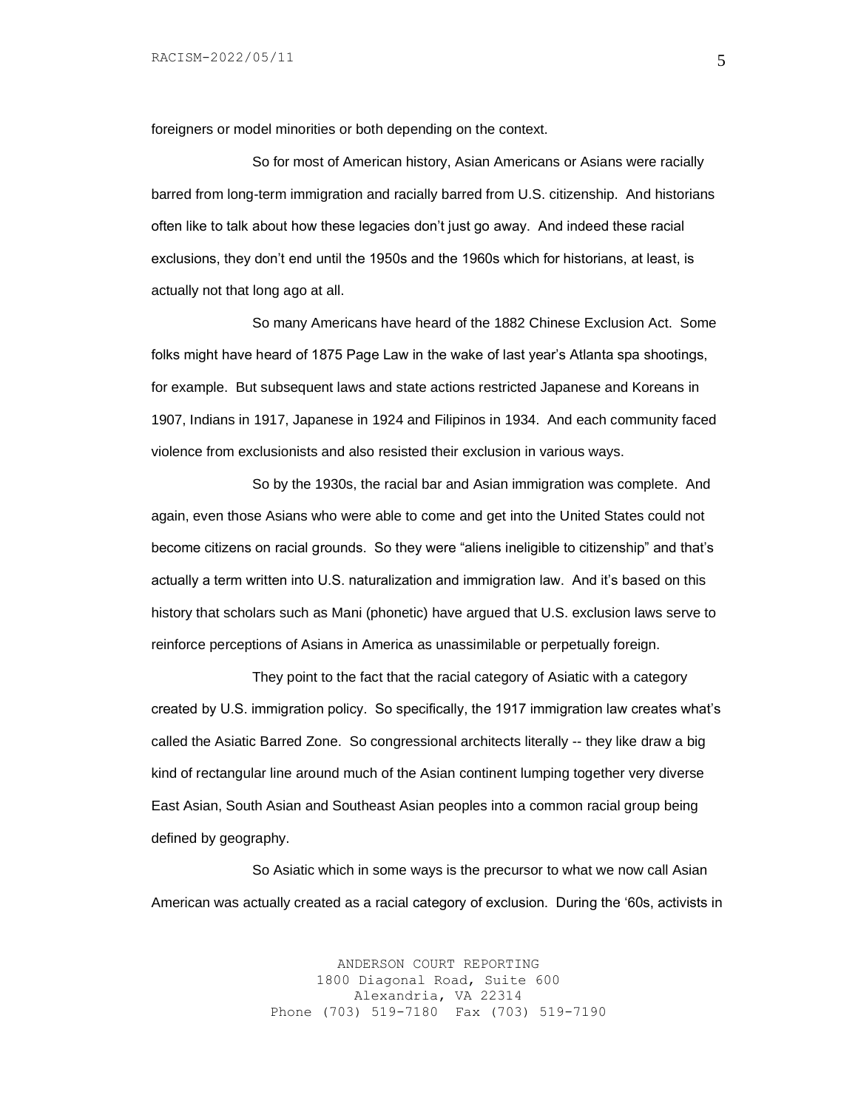foreigners or model minorities or both depending on the context.

So for most of American history, Asian Americans or Asians were racially barred from long-term immigration and racially barred from U.S. citizenship. And historians often like to talk about how these legacies don't just go away. And indeed these racial exclusions, they don't end until the 1950s and the 1960s which for historians, at least, is actually not that long ago at all.

So many Americans have heard of the 1882 Chinese Exclusion Act. Some folks might have heard of 1875 Page Law in the wake of last year's Atlanta spa shootings, for example. But subsequent laws and state actions restricted Japanese and Koreans in 1907, Indians in 1917, Japanese in 1924 and Filipinos in 1934. And each community faced violence from exclusionists and also resisted their exclusion in various ways.

So by the 1930s, the racial bar and Asian immigration was complete. And again, even those Asians who were able to come and get into the United States could not become citizens on racial grounds. So they were "aliens ineligible to citizenship" and that's actually a term written into U.S. naturalization and immigration law. And it's based on this history that scholars such as Mani (phonetic) have argued that U.S. exclusion laws serve to reinforce perceptions of Asians in America as unassimilable or perpetually foreign.

They point to the fact that the racial category of Asiatic with a category created by U.S. immigration policy. So specifically, the 1917 immigration law creates what's called the Asiatic Barred Zone. So congressional architects literally -- they like draw a big kind of rectangular line around much of the Asian continent lumping together very diverse East Asian, South Asian and Southeast Asian peoples into a common racial group being defined by geography.

So Asiatic which in some ways is the precursor to what we now call Asian American was actually created as a racial category of exclusion. During the '60s, activists in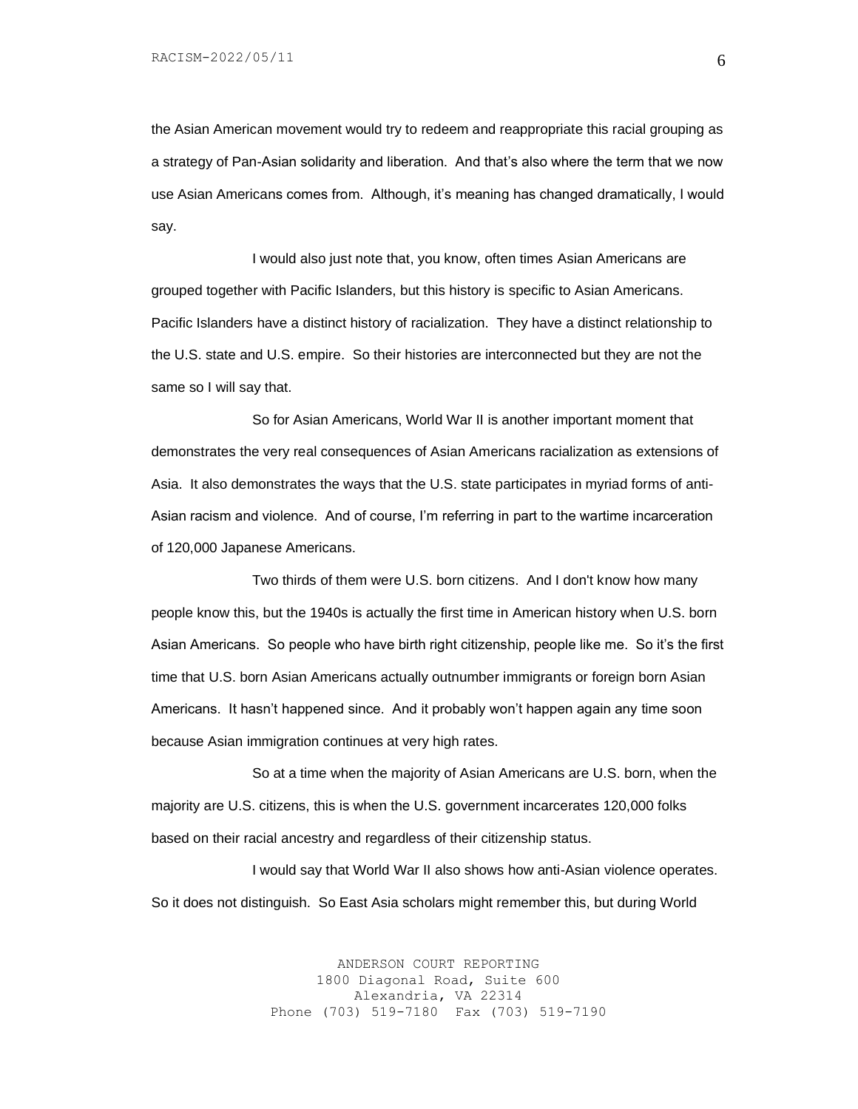the Asian American movement would try to redeem and reappropriate this racial grouping as a strategy of Pan-Asian solidarity and liberation. And that's also where the term that we now use Asian Americans comes from. Although, it's meaning has changed dramatically, I would say.

I would also just note that, you know, often times Asian Americans are grouped together with Pacific Islanders, but this history is specific to Asian Americans. Pacific Islanders have a distinct history of racialization. They have a distinct relationship to the U.S. state and U.S. empire. So their histories are interconnected but they are not the same so I will say that.

So for Asian Americans, World War II is another important moment that demonstrates the very real consequences of Asian Americans racialization as extensions of Asia. It also demonstrates the ways that the U.S. state participates in myriad forms of anti-Asian racism and violence. And of course, I'm referring in part to the wartime incarceration of 120,000 Japanese Americans.

Two thirds of them were U.S. born citizens. And I don't know how many people know this, but the 1940s is actually the first time in American history when U.S. born Asian Americans. So people who have birth right citizenship, people like me. So it's the first time that U.S. born Asian Americans actually outnumber immigrants or foreign born Asian Americans. It hasn't happened since. And it probably won't happen again any time soon because Asian immigration continues at very high rates.

So at a time when the majority of Asian Americans are U.S. born, when the majority are U.S. citizens, this is when the U.S. government incarcerates 120,000 folks based on their racial ancestry and regardless of their citizenship status.

I would say that World War II also shows how anti-Asian violence operates. So it does not distinguish. So East Asia scholars might remember this, but during World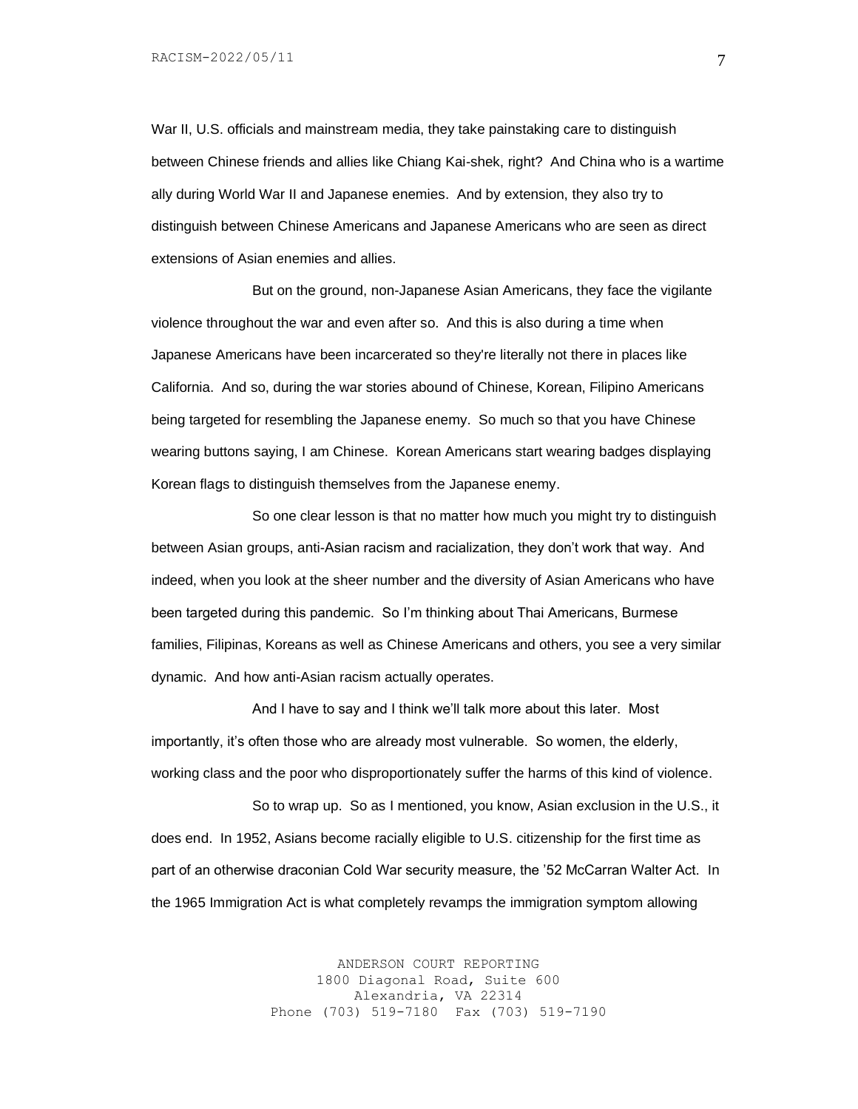War II, U.S. officials and mainstream media, they take painstaking care to distinguish between Chinese friends and allies like Chiang Kai-shek, right? And China who is a wartime ally during World War II and Japanese enemies. And by extension, they also try to distinguish between Chinese Americans and Japanese Americans who are seen as direct extensions of Asian enemies and allies.

But on the ground, non-Japanese Asian Americans, they face the vigilante violence throughout the war and even after so. And this is also during a time when Japanese Americans have been incarcerated so they're literally not there in places like California. And so, during the war stories abound of Chinese, Korean, Filipino Americans being targeted for resembling the Japanese enemy. So much so that you have Chinese wearing buttons saying, I am Chinese. Korean Americans start wearing badges displaying Korean flags to distinguish themselves from the Japanese enemy.

So one clear lesson is that no matter how much you might try to distinguish between Asian groups, anti-Asian racism and racialization, they don't work that way. And indeed, when you look at the sheer number and the diversity of Asian Americans who have been targeted during this pandemic. So I'm thinking about Thai Americans, Burmese families, Filipinas, Koreans as well as Chinese Americans and others, you see a very similar dynamic. And how anti-Asian racism actually operates.

And I have to say and I think we'll talk more about this later. Most importantly, it's often those who are already most vulnerable. So women, the elderly, working class and the poor who disproportionately suffer the harms of this kind of violence.

So to wrap up. So as I mentioned, you know, Asian exclusion in the U.S., it does end. In 1952, Asians become racially eligible to U.S. citizenship for the first time as part of an otherwise draconian Cold War security measure, the '52 McCarran Walter Act. In the 1965 Immigration Act is what completely revamps the immigration symptom allowing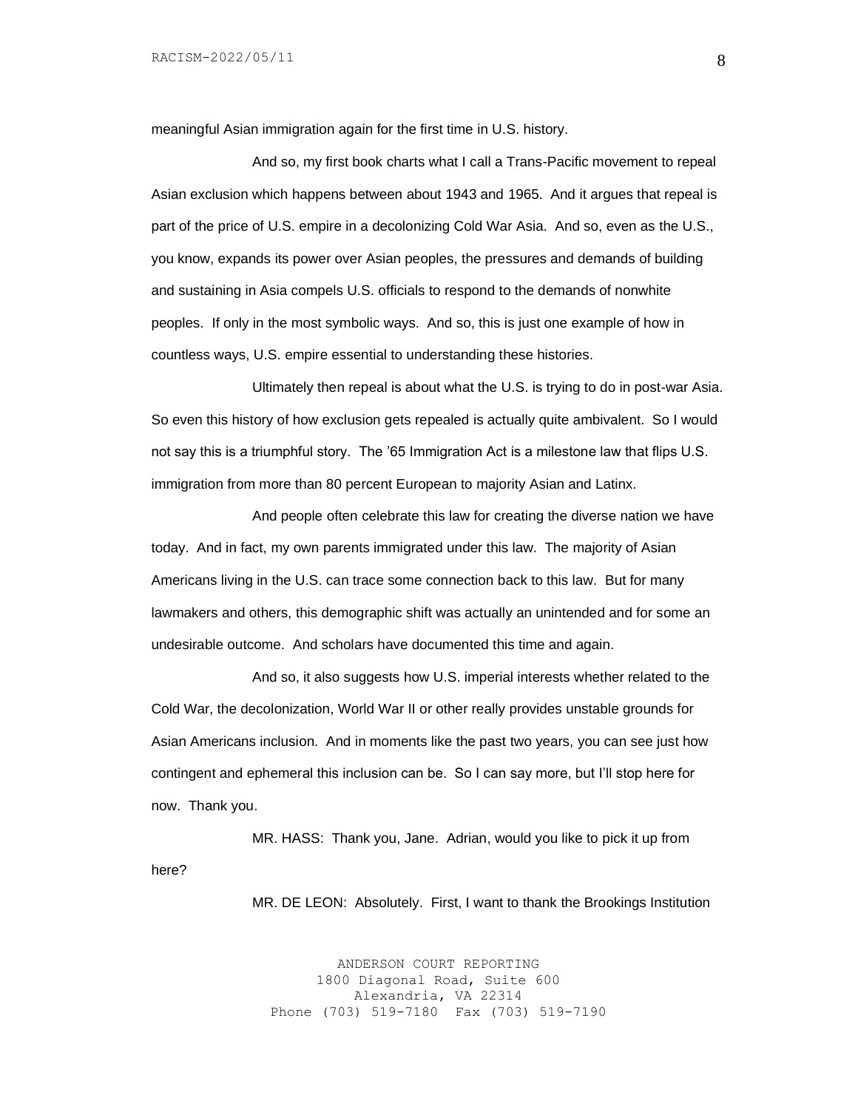meaningful Asian immigration again for the first time in U.S. history.

And so, my first book charts what I call a Trans-Pacific movement to repeal Asian exclusion which happens between about 1943 and 1965. And it argues that repeal is part of the price of U.S. empire in a decolonizing Cold War Asia. And so, even as the U.S., you know, expands its power over Asian peoples, the pressures and demands of building and sustaining in Asia compels U.S. officials to respond to the demands of nonwhite peoples. If only in the most symbolic ways. And so, this is just one example of how in countless ways, U.S. empire essential to understanding these histories.

Ultimately then repeal is about what the U.S. is trying to do in post-war Asia. So even this history of how exclusion gets repealed is actually quite ambivalent. So I would not say this is a triumphful story. The '65 Immigration Act is a milestone law that flips U.S. immigration from more than 80 percent European to majority Asian and Latinx.

And people often celebrate this law for creating the diverse nation we have today. And in fact, my own parents immigrated under this law. The majority of Asian Americans living in the U.S. can trace some connection back to this law. But for many lawmakers and others, this demographic shift was actually an unintended and for some an undesirable outcome. And scholars have documented this time and again.

And so, it also suggests how U.S. imperial interests whether related to the Cold War, the decolonization, World War II or other really provides unstable grounds for Asian Americans inclusion. And in moments like the past two years, you can see just how contingent and ephemeral this inclusion can be. So I can say more, but I'll stop here for now. Thank you.

MR. HASS: Thank you, Jane. Adrian, would you like to pick it up from here?

MR. DE LEON: Absolutely. First, I want to thank the Brookings Institution

ANDERSON COURT REPORTING 1800 Diagonal Road, Suite 600 Alexandria, VA 22314 Phone (703) 519-7180 Fax (703) 519-7190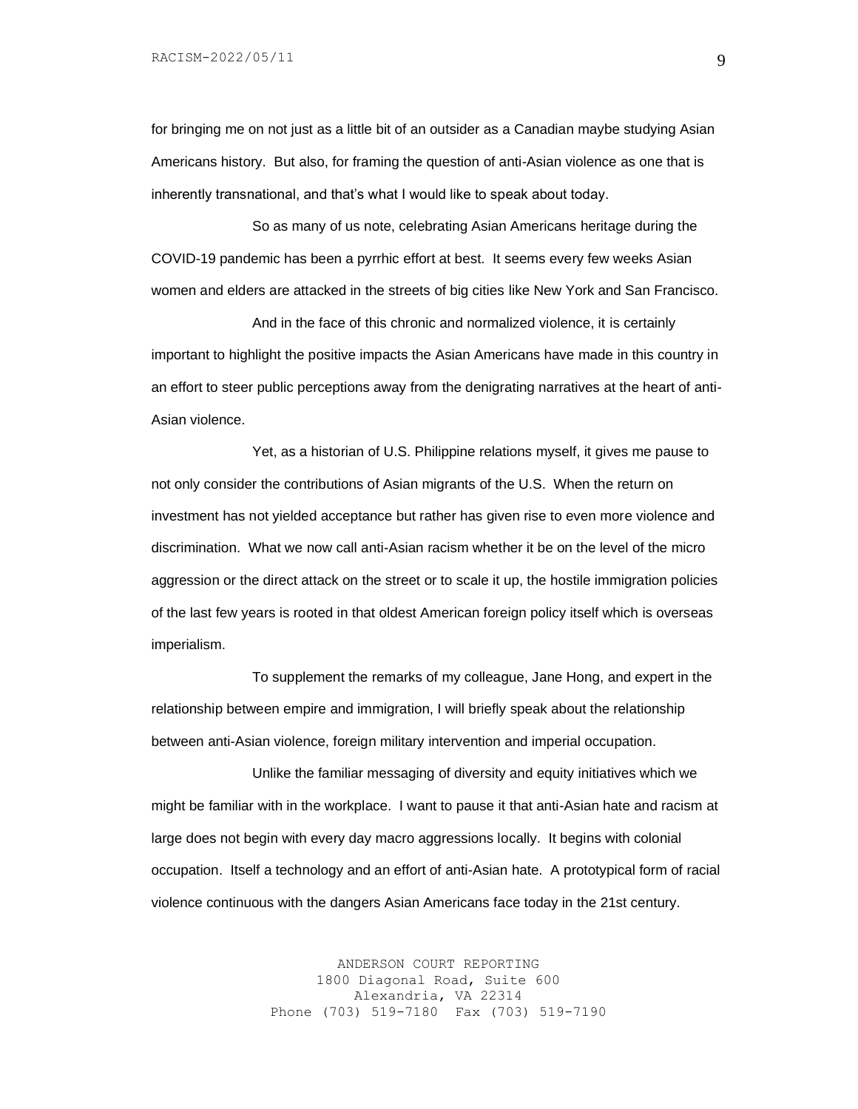for bringing me on not just as a little bit of an outsider as a Canadian maybe studying Asian Americans history. But also, for framing the question of anti-Asian violence as one that is inherently transnational, and that's what I would like to speak about today.

So as many of us note, celebrating Asian Americans heritage during the COVID-19 pandemic has been a pyrrhic effort at best. It seems every few weeks Asian women and elders are attacked in the streets of big cities like New York and San Francisco.

And in the face of this chronic and normalized violence, it is certainly important to highlight the positive impacts the Asian Americans have made in this country in an effort to steer public perceptions away from the denigrating narratives at the heart of anti-Asian violence.

Yet, as a historian of U.S. Philippine relations myself, it gives me pause to not only consider the contributions of Asian migrants of the U.S. When the return on investment has not yielded acceptance but rather has given rise to even more violence and discrimination. What we now call anti-Asian racism whether it be on the level of the micro aggression or the direct attack on the street or to scale it up, the hostile immigration policies of the last few years is rooted in that oldest American foreign policy itself which is overseas imperialism.

To supplement the remarks of my colleague, Jane Hong, and expert in the relationship between empire and immigration, I will briefly speak about the relationship between anti-Asian violence, foreign military intervention and imperial occupation.

Unlike the familiar messaging of diversity and equity initiatives which we might be familiar with in the workplace. I want to pause it that anti-Asian hate and racism at large does not begin with every day macro aggressions locally. It begins with colonial occupation. Itself a technology and an effort of anti-Asian hate. A prototypical form of racial violence continuous with the dangers Asian Americans face today in the 21st century.

> ANDERSON COURT REPORTING 1800 Diagonal Road, Suite 600 Alexandria, VA 22314 Phone (703) 519-7180 Fax (703) 519-7190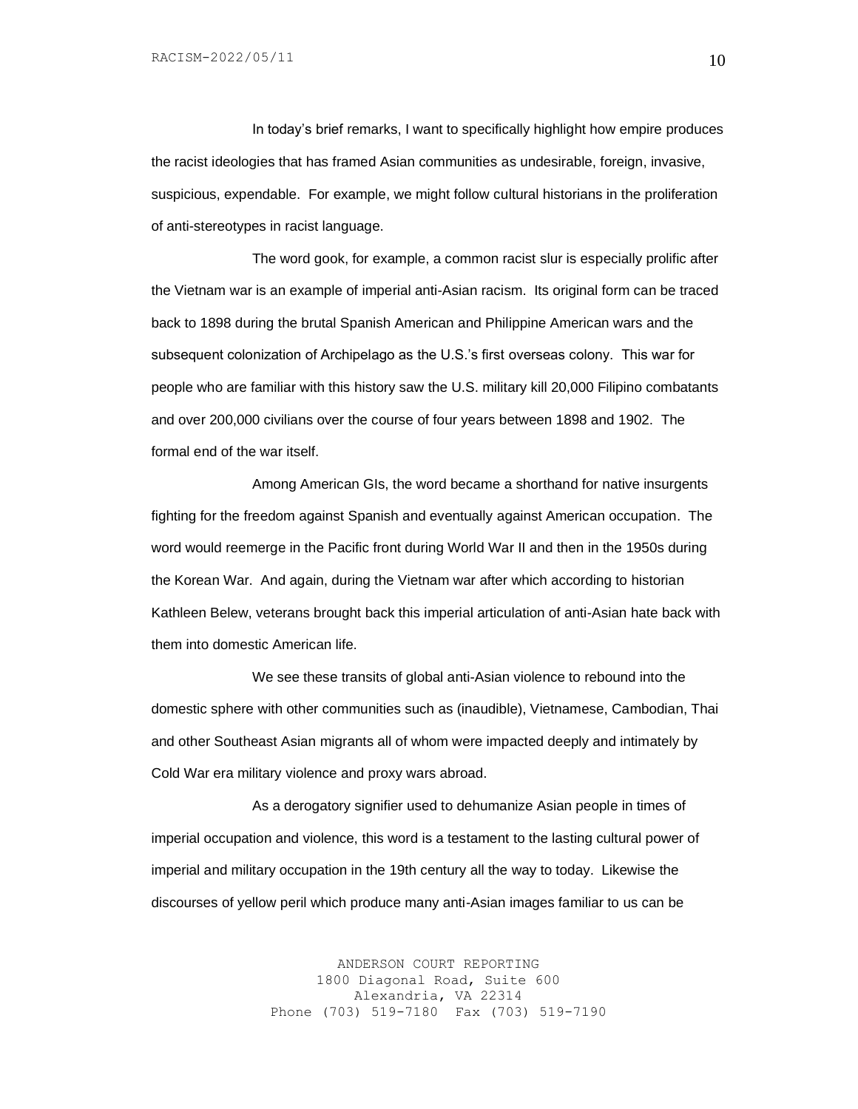In today's brief remarks, I want to specifically highlight how empire produces the racist ideologies that has framed Asian communities as undesirable, foreign, invasive, suspicious, expendable. For example, we might follow cultural historians in the proliferation of anti-stereotypes in racist language.

The word gook, for example, a common racist slur is especially prolific after the Vietnam war is an example of imperial anti-Asian racism. Its original form can be traced back to 1898 during the brutal Spanish American and Philippine American wars and the subsequent colonization of Archipelago as the U.S.'s first overseas colony. This war for people who are familiar with this history saw the U.S. military kill 20,000 Filipino combatants and over 200,000 civilians over the course of four years between 1898 and 1902. The formal end of the war itself.

Among American GIs, the word became a shorthand for native insurgents fighting for the freedom against Spanish and eventually against American occupation. The word would reemerge in the Pacific front during World War II and then in the 1950s during the Korean War. And again, during the Vietnam war after which according to historian Kathleen Belew, veterans brought back this imperial articulation of anti-Asian hate back with them into domestic American life.

We see these transits of global anti-Asian violence to rebound into the domestic sphere with other communities such as (inaudible), Vietnamese, Cambodian, Thai and other Southeast Asian migrants all of whom were impacted deeply and intimately by Cold War era military violence and proxy wars abroad.

As a derogatory signifier used to dehumanize Asian people in times of imperial occupation and violence, this word is a testament to the lasting cultural power of imperial and military occupation in the 19th century all the way to today. Likewise the discourses of yellow peril which produce many anti-Asian images familiar to us can be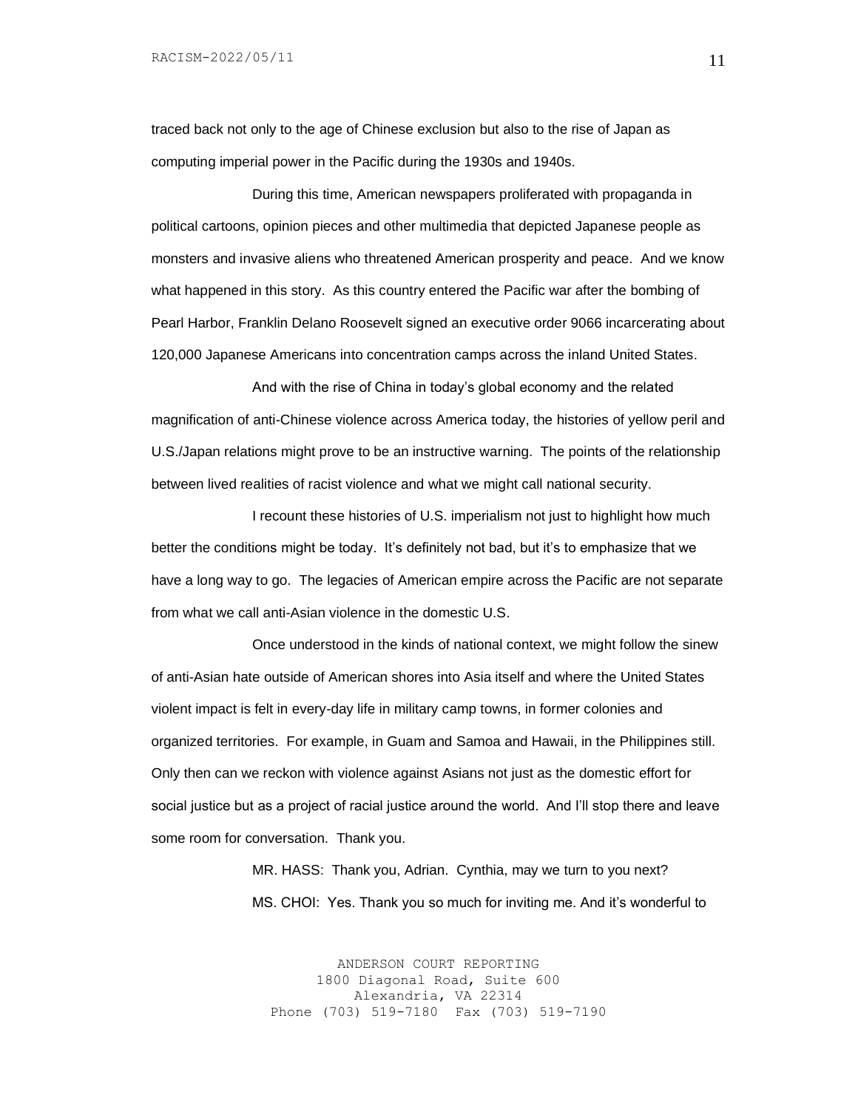traced back not only to the age of Chinese exclusion but also to the rise of Japan as computing imperial power in the Pacific during the 1930s and 1940s.

During this time, American newspapers proliferated with propaganda in political cartoons, opinion pieces and other multimedia that depicted Japanese people as monsters and invasive aliens who threatened American prosperity and peace. And we know what happened in this story. As this country entered the Pacific war after the bombing of Pearl Harbor, Franklin Delano Roosevelt signed an executive order 9066 incarcerating about 120,000 Japanese Americans into concentration camps across the inland United States.

And with the rise of China in today's global economy and the related magnification of anti-Chinese violence across America today, the histories of yellow peril and U.S./Japan relations might prove to be an instructive warning. The points of the relationship between lived realities of racist violence and what we might call national security.

I recount these histories of U.S. imperialism not just to highlight how much better the conditions might be today. It's definitely not bad, but it's to emphasize that we have a long way to go. The legacies of American empire across the Pacific are not separate from what we call anti-Asian violence in the domestic U.S.

Once understood in the kinds of national context, we might follow the sinew of anti-Asian hate outside of American shores into Asia itself and where the United States violent impact is felt in every-day life in military camp towns, in former colonies and organized territories. For example, in Guam and Samoa and Hawaii, in the Philippines still. Only then can we reckon with violence against Asians not just as the domestic effort for social justice but as a project of racial justice around the world. And I'll stop there and leave some room for conversation. Thank you.

> MR. HASS: Thank you, Adrian. Cynthia, may we turn to you next? MS. CHOI: Yes. Thank you so much for inviting me. And it's wonderful to

ANDERSON COURT REPORTING 1800 Diagonal Road, Suite 600 Alexandria, VA 22314 Phone (703) 519-7180 Fax (703) 519-7190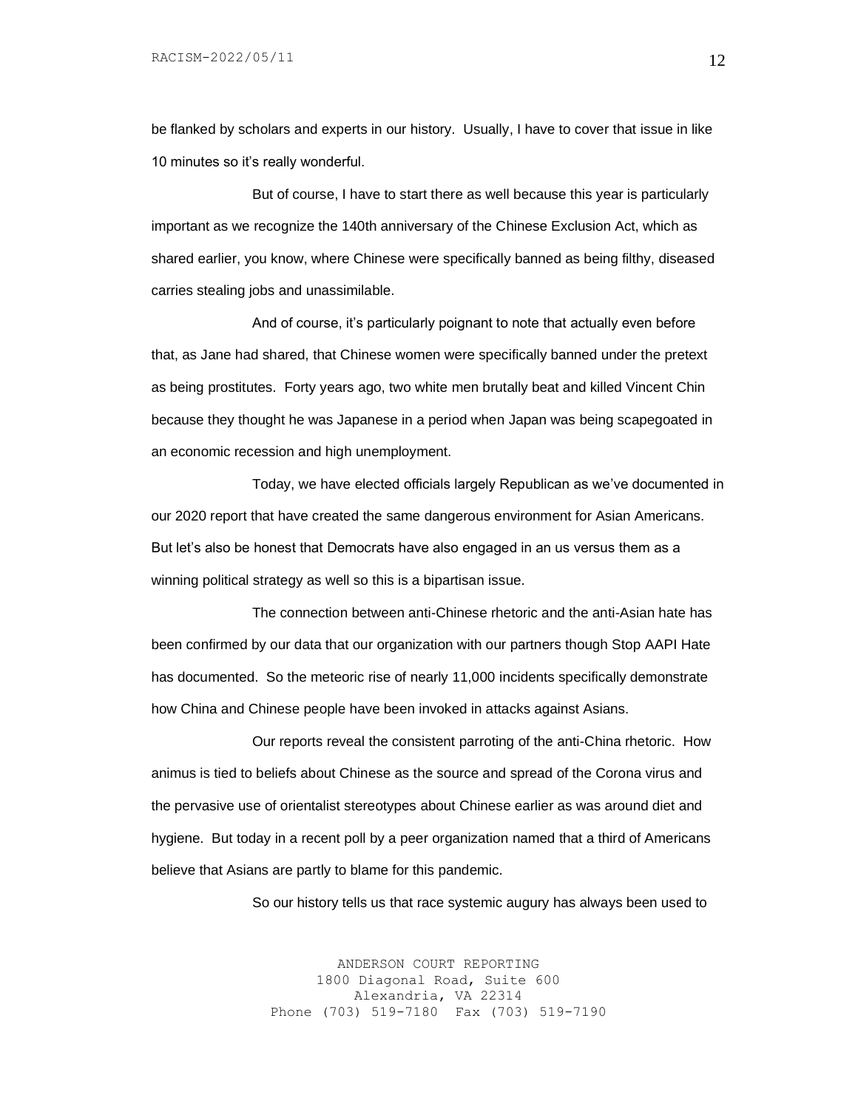be flanked by scholars and experts in our history. Usually, I have to cover that issue in like 10 minutes so it's really wonderful.

But of course, I have to start there as well because this year is particularly important as we recognize the 140th anniversary of the Chinese Exclusion Act, which as shared earlier, you know, where Chinese were specifically banned as being filthy, diseased carries stealing jobs and unassimilable.

And of course, it's particularly poignant to note that actually even before that, as Jane had shared, that Chinese women were specifically banned under the pretext as being prostitutes. Forty years ago, two white men brutally beat and killed Vincent Chin because they thought he was Japanese in a period when Japan was being scapegoated in an economic recession and high unemployment.

Today, we have elected officials largely Republican as we've documented in our 2020 report that have created the same dangerous environment for Asian Americans. But let's also be honest that Democrats have also engaged in an us versus them as a winning political strategy as well so this is a bipartisan issue.

The connection between anti-Chinese rhetoric and the anti-Asian hate has been confirmed by our data that our organization with our partners though Stop AAPI Hate has documented. So the meteoric rise of nearly 11,000 incidents specifically demonstrate how China and Chinese people have been invoked in attacks against Asians.

Our reports reveal the consistent parroting of the anti-China rhetoric. How animus is tied to beliefs about Chinese as the source and spread of the Corona virus and the pervasive use of orientalist stereotypes about Chinese earlier as was around diet and hygiene. But today in a recent poll by a peer organization named that a third of Americans believe that Asians are partly to blame for this pandemic.

So our history tells us that race systemic augury has always been used to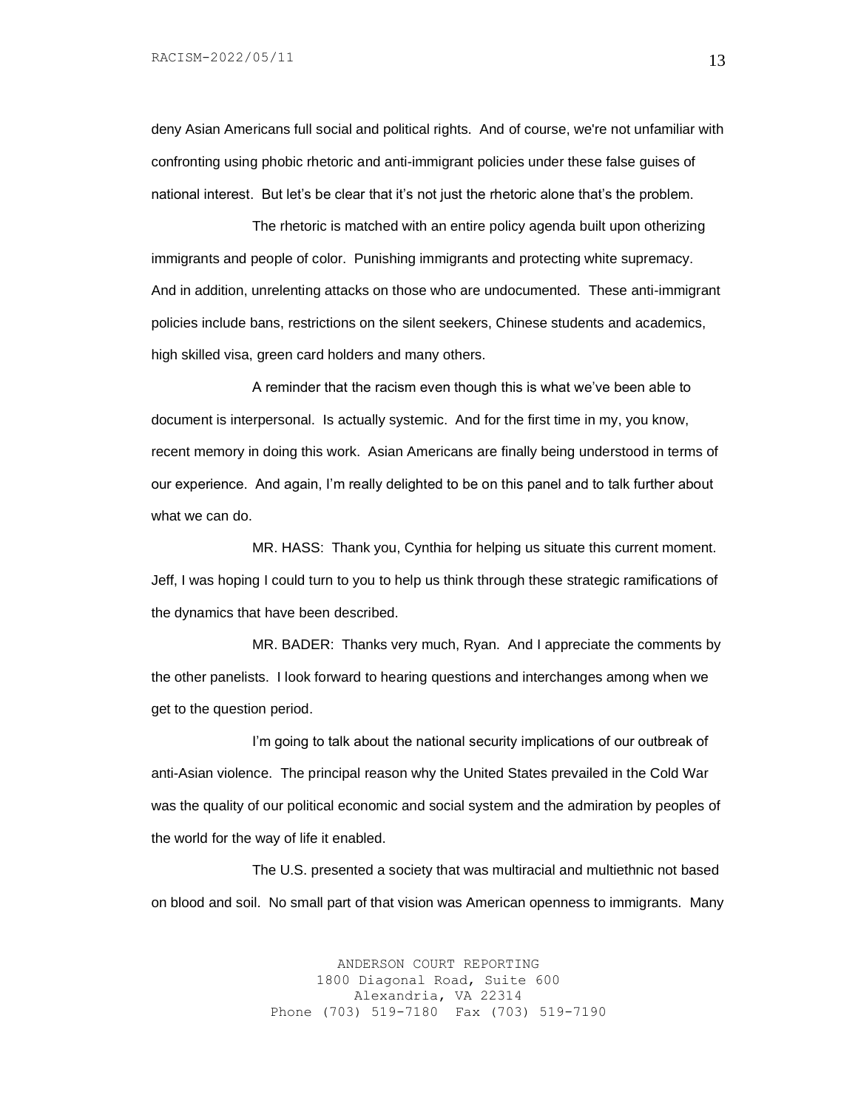deny Asian Americans full social and political rights. And of course, we're not unfamiliar with confronting using phobic rhetoric and anti-immigrant policies under these false guises of national interest. But let's be clear that it's not just the rhetoric alone that's the problem.

The rhetoric is matched with an entire policy agenda built upon otherizing immigrants and people of color. Punishing immigrants and protecting white supremacy. And in addition, unrelenting attacks on those who are undocumented. These anti-immigrant policies include bans, restrictions on the silent seekers, Chinese students and academics, high skilled visa, green card holders and many others.

A reminder that the racism even though this is what we've been able to document is interpersonal. Is actually systemic. And for the first time in my, you know, recent memory in doing this work. Asian Americans are finally being understood in terms of our experience. And again, I'm really delighted to be on this panel and to talk further about what we can do.

MR. HASS: Thank you, Cynthia for helping us situate this current moment. Jeff, I was hoping I could turn to you to help us think through these strategic ramifications of the dynamics that have been described.

MR. BADER: Thanks very much, Ryan. And I appreciate the comments by the other panelists. I look forward to hearing questions and interchanges among when we get to the question period.

I'm going to talk about the national security implications of our outbreak of anti-Asian violence. The principal reason why the United States prevailed in the Cold War was the quality of our political economic and social system and the admiration by peoples of the world for the way of life it enabled.

The U.S. presented a society that was multiracial and multiethnic not based on blood and soil. No small part of that vision was American openness to immigrants. Many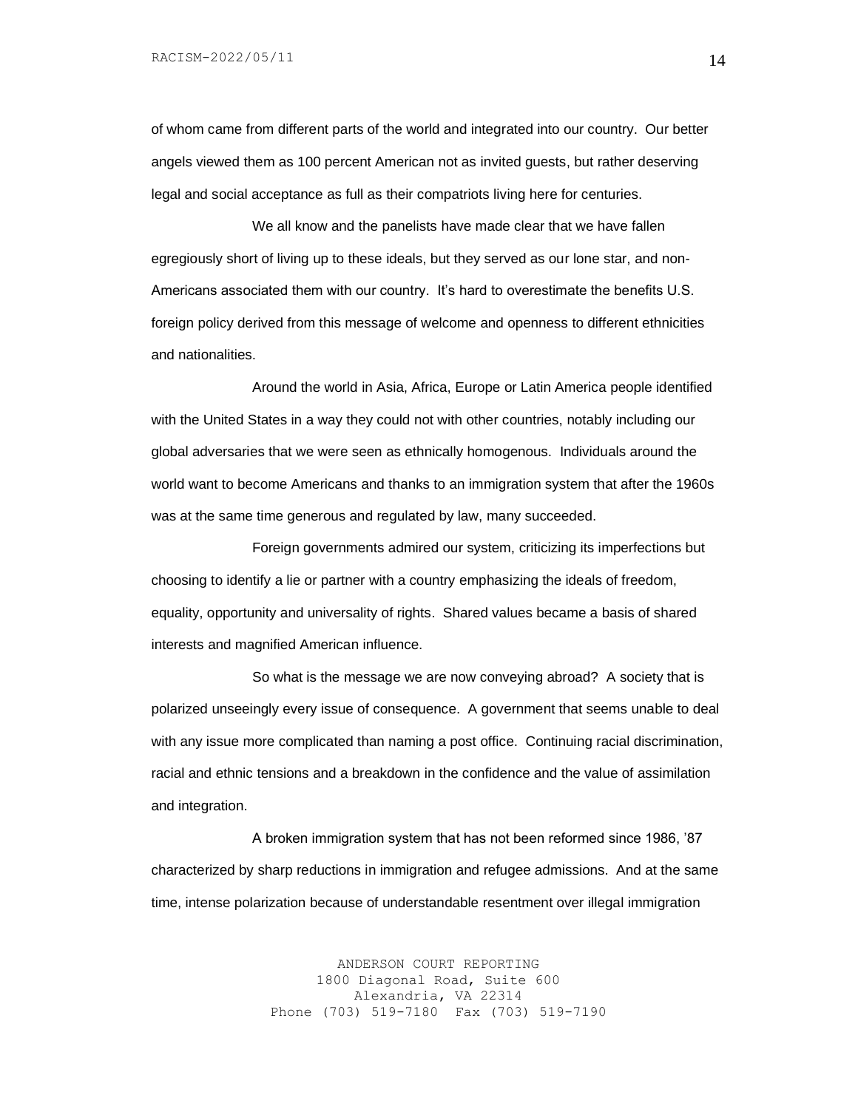of whom came from different parts of the world and integrated into our country. Our better angels viewed them as 100 percent American not as invited guests, but rather deserving legal and social acceptance as full as their compatriots living here for centuries.

We all know and the panelists have made clear that we have fallen egregiously short of living up to these ideals, but they served as our lone star, and non-Americans associated them with our country. It's hard to overestimate the benefits U.S. foreign policy derived from this message of welcome and openness to different ethnicities and nationalities.

Around the world in Asia, Africa, Europe or Latin America people identified with the United States in a way they could not with other countries, notably including our global adversaries that we were seen as ethnically homogenous. Individuals around the world want to become Americans and thanks to an immigration system that after the 1960s was at the same time generous and regulated by law, many succeeded.

Foreign governments admired our system, criticizing its imperfections but choosing to identify a lie or partner with a country emphasizing the ideals of freedom, equality, opportunity and universality of rights. Shared values became a basis of shared interests and magnified American influence.

So what is the message we are now conveying abroad? A society that is polarized unseeingly every issue of consequence. A government that seems unable to deal with any issue more complicated than naming a post office. Continuing racial discrimination, racial and ethnic tensions and a breakdown in the confidence and the value of assimilation and integration.

A broken immigration system that has not been reformed since 1986, '87 characterized by sharp reductions in immigration and refugee admissions. And at the same time, intense polarization because of understandable resentment over illegal immigration

> ANDERSON COURT REPORTING 1800 Diagonal Road, Suite 600 Alexandria, VA 22314 Phone (703) 519-7180 Fax (703) 519-7190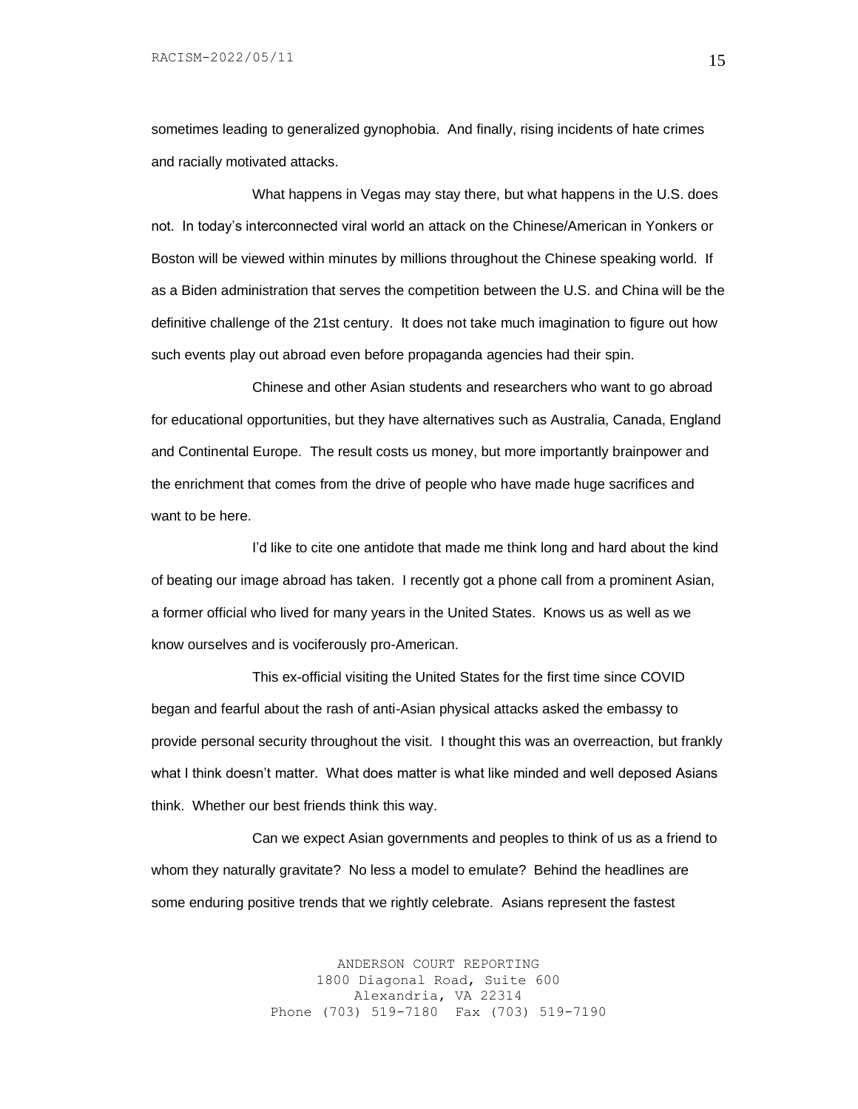sometimes leading to generalized gynophobia. And finally, rising incidents of hate crimes and racially motivated attacks.

What happens in Vegas may stay there, but what happens in the U.S. does not. In today's interconnected viral world an attack on the Chinese/American in Yonkers or Boston will be viewed within minutes by millions throughout the Chinese speaking world. If as a Biden administration that serves the competition between the U.S. and China will be the definitive challenge of the 21st century. It does not take much imagination to figure out how such events play out abroad even before propaganda agencies had their spin.

Chinese and other Asian students and researchers who want to go abroad for educational opportunities, but they have alternatives such as Australia, Canada, England and Continental Europe. The result costs us money, but more importantly brainpower and the enrichment that comes from the drive of people who have made huge sacrifices and want to be here.

I'd like to cite one antidote that made me think long and hard about the kind of beating our image abroad has taken. I recently got a phone call from a prominent Asian, a former official who lived for many years in the United States. Knows us as well as we know ourselves and is vociferously pro-American.

This ex-official visiting the United States for the first time since COVID began and fearful about the rash of anti-Asian physical attacks asked the embassy to provide personal security throughout the visit. I thought this was an overreaction, but frankly what I think doesn't matter. What does matter is what like minded and well deposed Asians think. Whether our best friends think this way.

Can we expect Asian governments and peoples to think of us as a friend to whom they naturally gravitate? No less a model to emulate? Behind the headlines are some enduring positive trends that we rightly celebrate. Asians represent the fastest

> ANDERSON COURT REPORTING 1800 Diagonal Road, Suite 600 Alexandria, VA 22314 Phone (703) 519-7180 Fax (703) 519-7190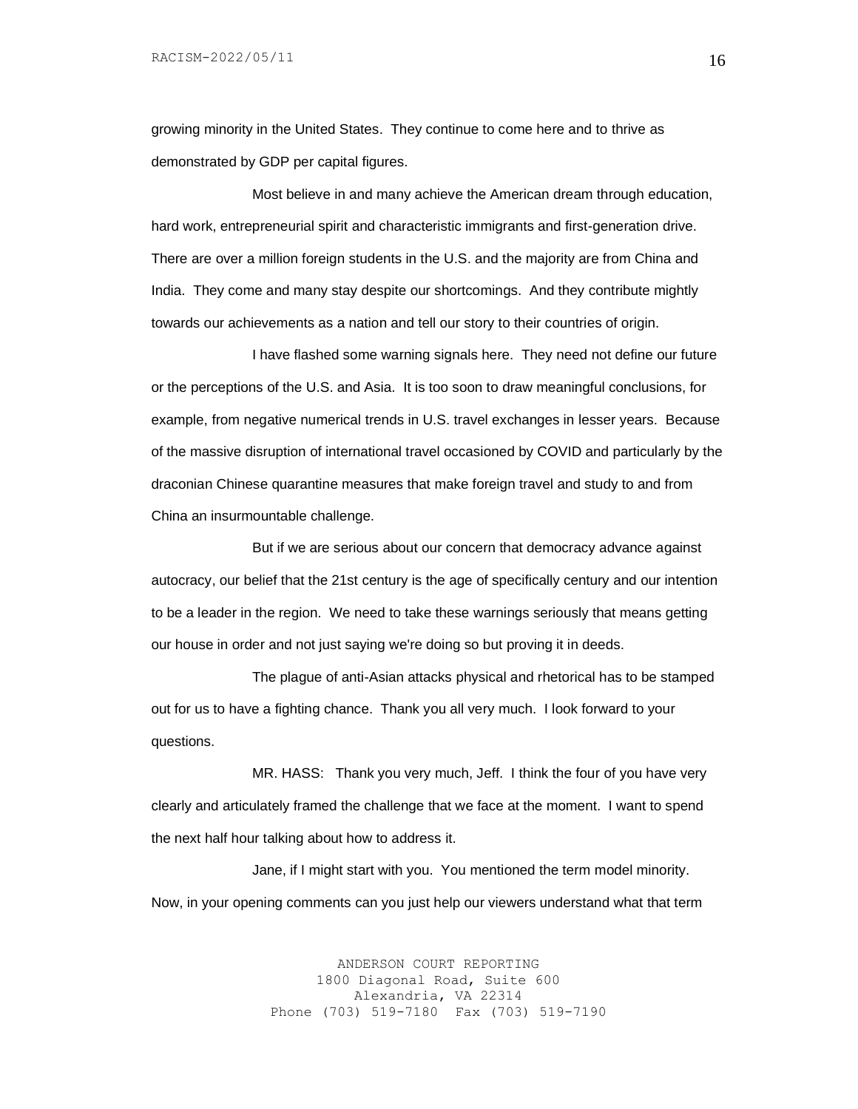growing minority in the United States. They continue to come here and to thrive as demonstrated by GDP per capital figures.

Most believe in and many achieve the American dream through education, hard work, entrepreneurial spirit and characteristic immigrants and first-generation drive. There are over a million foreign students in the U.S. and the majority are from China and India. They come and many stay despite our shortcomings. And they contribute mightly towards our achievements as a nation and tell our story to their countries of origin.

I have flashed some warning signals here. They need not define our future or the perceptions of the U.S. and Asia. It is too soon to draw meaningful conclusions, for example, from negative numerical trends in U.S. travel exchanges in lesser years. Because of the massive disruption of international travel occasioned by COVID and particularly by the draconian Chinese quarantine measures that make foreign travel and study to and from China an insurmountable challenge.

But if we are serious about our concern that democracy advance against autocracy, our belief that the 21st century is the age of specifically century and our intention to be a leader in the region. We need to take these warnings seriously that means getting our house in order and not just saying we're doing so but proving it in deeds.

The plague of anti-Asian attacks physical and rhetorical has to be stamped out for us to have a fighting chance. Thank you all very much. I look forward to your questions.

MR. HASS: Thank you very much, Jeff. I think the four of you have very clearly and articulately framed the challenge that we face at the moment. I want to spend the next half hour talking about how to address it.

Jane, if I might start with you. You mentioned the term model minority. Now, in your opening comments can you just help our viewers understand what that term

> ANDERSON COURT REPORTING 1800 Diagonal Road, Suite 600 Alexandria, VA 22314 Phone (703) 519-7180 Fax (703) 519-7190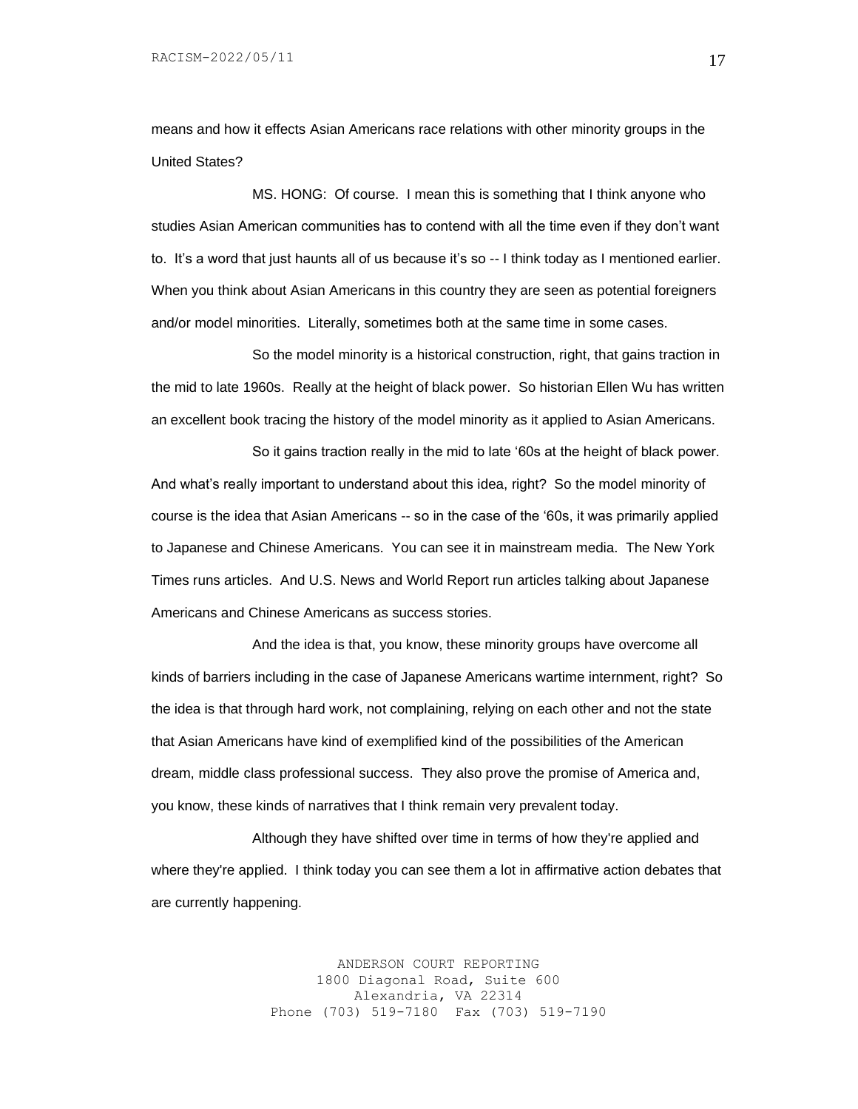means and how it effects Asian Americans race relations with other minority groups in the United States?

MS. HONG: Of course. I mean this is something that I think anyone who studies Asian American communities has to contend with all the time even if they don't want to. It's a word that just haunts all of us because it's so -- I think today as I mentioned earlier. When you think about Asian Americans in this country they are seen as potential foreigners and/or model minorities. Literally, sometimes both at the same time in some cases.

So the model minority is a historical construction, right, that gains traction in the mid to late 1960s. Really at the height of black power. So historian Ellen Wu has written an excellent book tracing the history of the model minority as it applied to Asian Americans.

So it gains traction really in the mid to late '60s at the height of black power. And what's really important to understand about this idea, right? So the model minority of course is the idea that Asian Americans -- so in the case of the '60s, it was primarily applied to Japanese and Chinese Americans. You can see it in mainstream media. The New York Times runs articles. And U.S. News and World Report run articles talking about Japanese Americans and Chinese Americans as success stories.

And the idea is that, you know, these minority groups have overcome all kinds of barriers including in the case of Japanese Americans wartime internment, right? So the idea is that through hard work, not complaining, relying on each other and not the state that Asian Americans have kind of exemplified kind of the possibilities of the American dream, middle class professional success. They also prove the promise of America and, you know, these kinds of narratives that I think remain very prevalent today.

Although they have shifted over time in terms of how they're applied and where they're applied. I think today you can see them a lot in affirmative action debates that are currently happening.

> ANDERSON COURT REPORTING 1800 Diagonal Road, Suite 600 Alexandria, VA 22314 Phone (703) 519-7180 Fax (703) 519-7190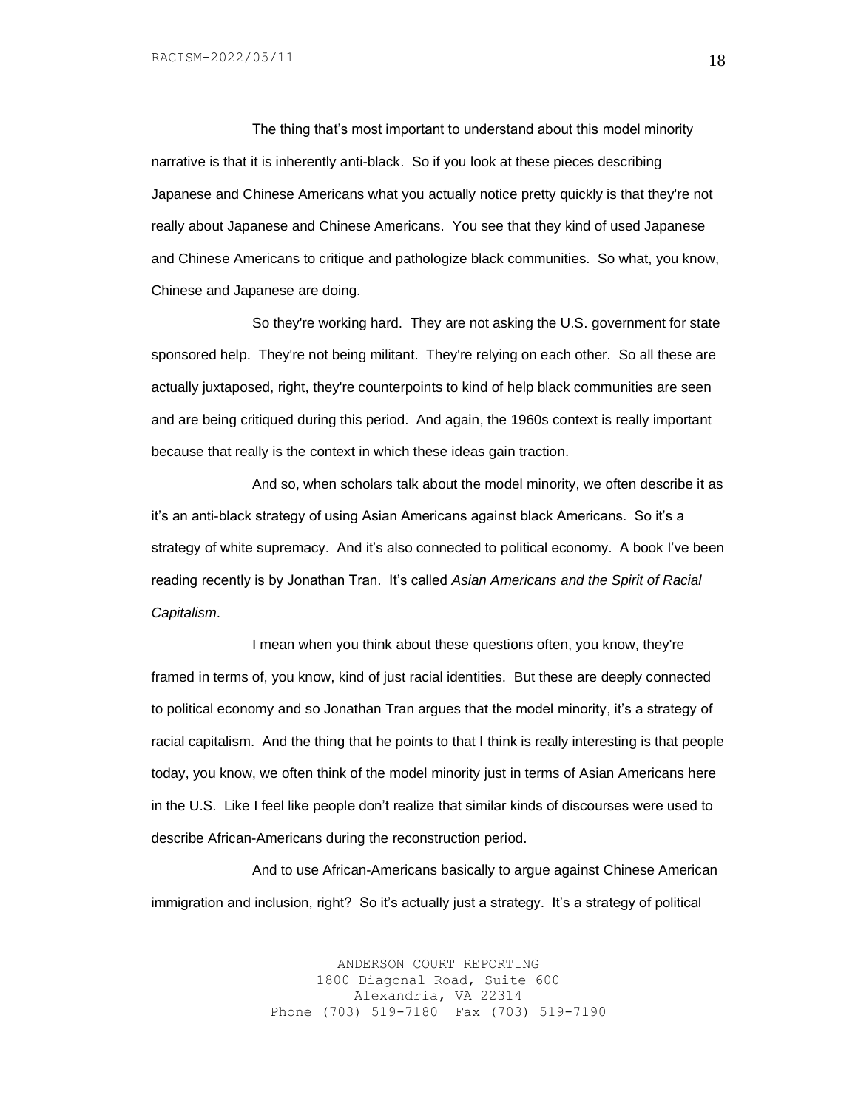The thing that's most important to understand about this model minority narrative is that it is inherently anti-black. So if you look at these pieces describing Japanese and Chinese Americans what you actually notice pretty quickly is that they're not really about Japanese and Chinese Americans. You see that they kind of used Japanese and Chinese Americans to critique and pathologize black communities. So what, you know, Chinese and Japanese are doing.

So they're working hard. They are not asking the U.S. government for state sponsored help. They're not being militant. They're relying on each other. So all these are actually juxtaposed, right, they're counterpoints to kind of help black communities are seen and are being critiqued during this period. And again, the 1960s context is really important because that really is the context in which these ideas gain traction.

And so, when scholars talk about the model minority, we often describe it as it's an anti-black strategy of using Asian Americans against black Americans. So it's a strategy of white supremacy. And it's also connected to political economy. A book I've been reading recently is by Jonathan Tran. It's called *Asian Americans and the Spirit of Racial Capitalism*.

I mean when you think about these questions often, you know, they're framed in terms of, you know, kind of just racial identities. But these are deeply connected to political economy and so Jonathan Tran argues that the model minority, it's a strategy of racial capitalism. And the thing that he points to that I think is really interesting is that people today, you know, we often think of the model minority just in terms of Asian Americans here in the U.S. Like I feel like people don't realize that similar kinds of discourses were used to describe African-Americans during the reconstruction period.

And to use African-Americans basically to argue against Chinese American immigration and inclusion, right? So it's actually just a strategy. It's a strategy of political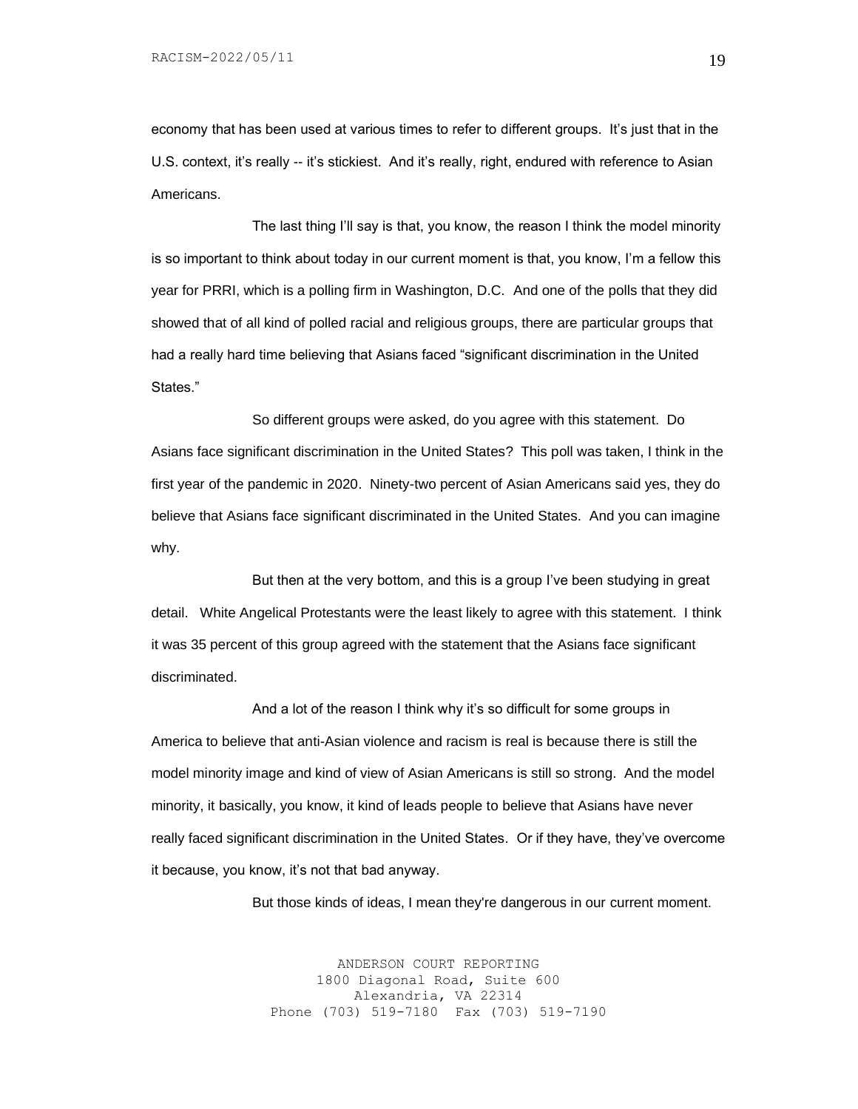economy that has been used at various times to refer to different groups. It's just that in the U.S. context, it's really -- it's stickiest. And it's really, right, endured with reference to Asian Americans.

The last thing I'll say is that, you know, the reason I think the model minority is so important to think about today in our current moment is that, you know, I'm a fellow this year for PRRI, which is a polling firm in Washington, D.C. And one of the polls that they did showed that of all kind of polled racial and religious groups, there are particular groups that had a really hard time believing that Asians faced "significant discrimination in the United States."

So different groups were asked, do you agree with this statement. Do Asians face significant discrimination in the United States? This poll was taken, I think in the first year of the pandemic in 2020. Ninety-two percent of Asian Americans said yes, they do believe that Asians face significant discriminated in the United States. And you can imagine why.

But then at the very bottom, and this is a group I've been studying in great detail. White Angelical Protestants were the least likely to agree with this statement. I think it was 35 percent of this group agreed with the statement that the Asians face significant discriminated.

And a lot of the reason I think why it's so difficult for some groups in America to believe that anti-Asian violence and racism is real is because there is still the model minority image and kind of view of Asian Americans is still so strong. And the model minority, it basically, you know, it kind of leads people to believe that Asians have never really faced significant discrimination in the United States. Or if they have, they've overcome it because, you know, it's not that bad anyway.

But those kinds of ideas, I mean they're dangerous in our current moment.

ANDERSON COURT REPORTING 1800 Diagonal Road, Suite 600 Alexandria, VA 22314 Phone (703) 519-7180 Fax (703) 519-7190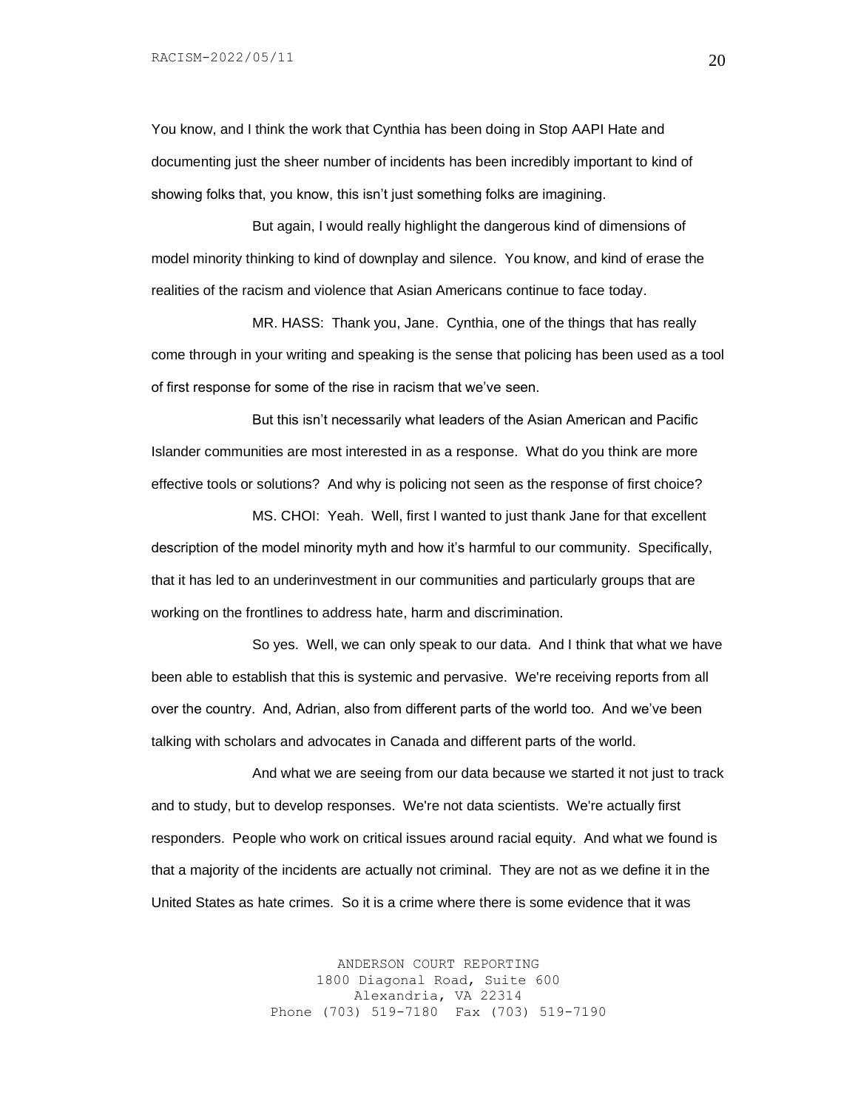You know, and I think the work that Cynthia has been doing in Stop AAPI Hate and documenting just the sheer number of incidents has been incredibly important to kind of showing folks that, you know, this isn't just something folks are imagining.

But again, I would really highlight the dangerous kind of dimensions of model minority thinking to kind of downplay and silence. You know, and kind of erase the realities of the racism and violence that Asian Americans continue to face today.

MR. HASS: Thank you, Jane. Cynthia, one of the things that has really come through in your writing and speaking is the sense that policing has been used as a tool of first response for some of the rise in racism that we've seen.

But this isn't necessarily what leaders of the Asian American and Pacific Islander communities are most interested in as a response. What do you think are more effective tools or solutions? And why is policing not seen as the response of first choice?

MS. CHOI: Yeah. Well, first I wanted to just thank Jane for that excellent description of the model minority myth and how it's harmful to our community. Specifically, that it has led to an underinvestment in our communities and particularly groups that are working on the frontlines to address hate, harm and discrimination.

So yes. Well, we can only speak to our data. And I think that what we have been able to establish that this is systemic and pervasive. We're receiving reports from all over the country. And, Adrian, also from different parts of the world too. And we've been talking with scholars and advocates in Canada and different parts of the world.

And what we are seeing from our data because we started it not just to track and to study, but to develop responses. We're not data scientists. We're actually first responders. People who work on critical issues around racial equity. And what we found is that a majority of the incidents are actually not criminal. They are not as we define it in the United States as hate crimes. So it is a crime where there is some evidence that it was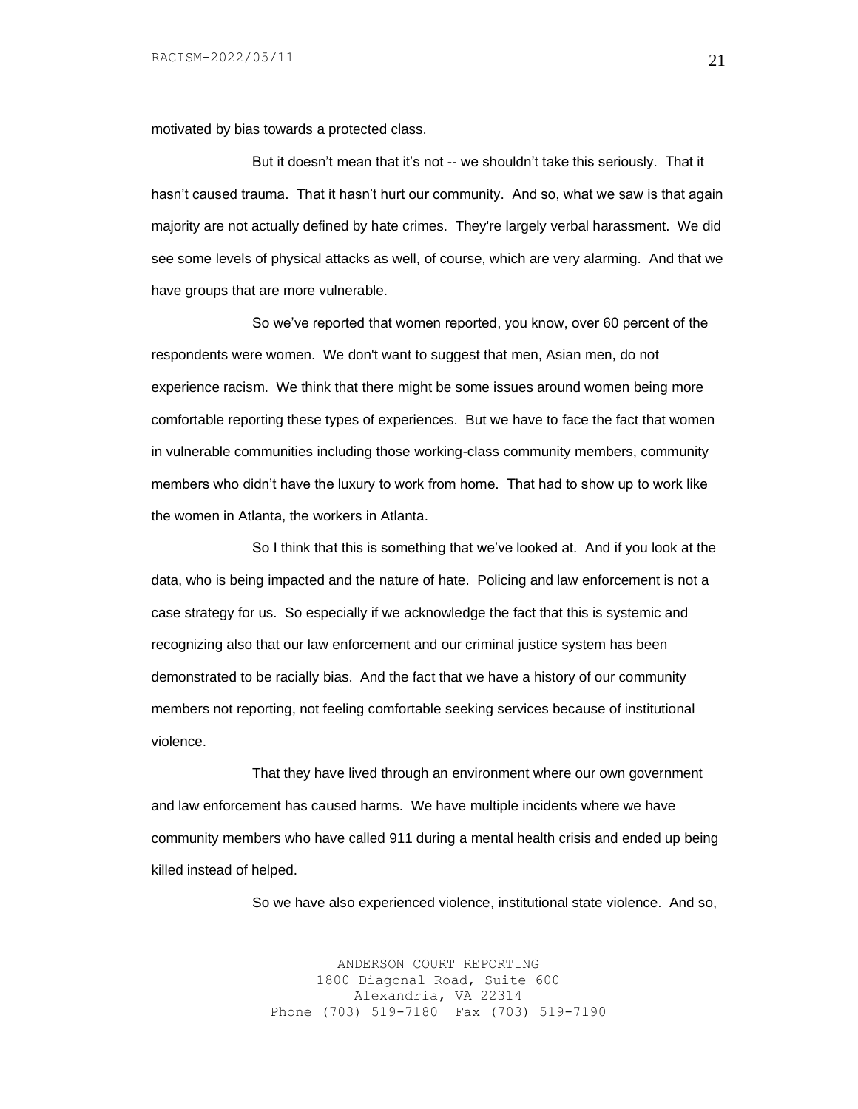motivated by bias towards a protected class.

But it doesn't mean that it's not -- we shouldn't take this seriously. That it hasn't caused trauma. That it hasn't hurt our community. And so, what we saw is that again majority are not actually defined by hate crimes. They're largely verbal harassment. We did see some levels of physical attacks as well, of course, which are very alarming. And that we have groups that are more vulnerable.

So we've reported that women reported, you know, over 60 percent of the respondents were women. We don't want to suggest that men, Asian men, do not experience racism. We think that there might be some issues around women being more comfortable reporting these types of experiences. But we have to face the fact that women in vulnerable communities including those working-class community members, community members who didn't have the luxury to work from home. That had to show up to work like the women in Atlanta, the workers in Atlanta.

So I think that this is something that we've looked at. And if you look at the data, who is being impacted and the nature of hate. Policing and law enforcement is not a case strategy for us. So especially if we acknowledge the fact that this is systemic and recognizing also that our law enforcement and our criminal justice system has been demonstrated to be racially bias. And the fact that we have a history of our community members not reporting, not feeling comfortable seeking services because of institutional violence.

That they have lived through an environment where our own government and law enforcement has caused harms. We have multiple incidents where we have community members who have called 911 during a mental health crisis and ended up being killed instead of helped.

So we have also experienced violence, institutional state violence. And so,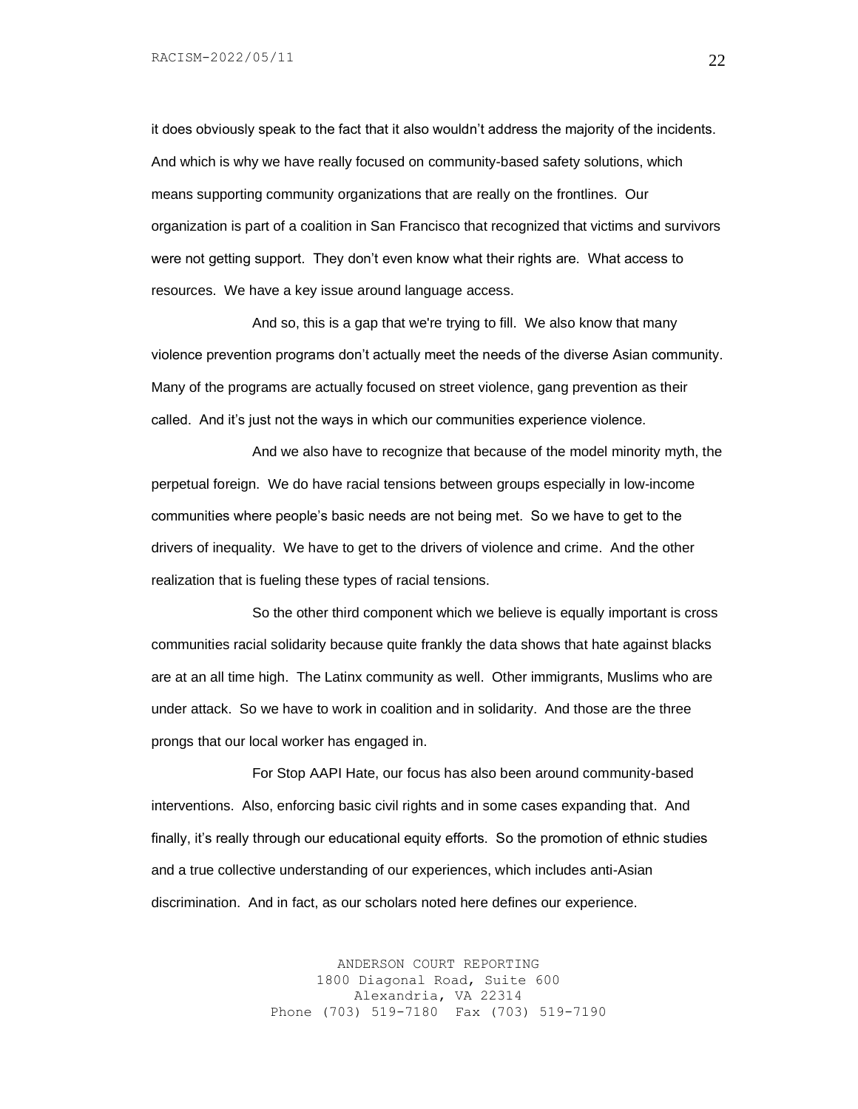it does obviously speak to the fact that it also wouldn't address the majority of the incidents. And which is why we have really focused on community-based safety solutions, which means supporting community organizations that are really on the frontlines. Our organization is part of a coalition in San Francisco that recognized that victims and survivors were not getting support. They don't even know what their rights are. What access to resources. We have a key issue around language access.

And so, this is a gap that we're trying to fill. We also know that many violence prevention programs don't actually meet the needs of the diverse Asian community. Many of the programs are actually focused on street violence, gang prevention as their called. And it's just not the ways in which our communities experience violence.

And we also have to recognize that because of the model minority myth, the perpetual foreign. We do have racial tensions between groups especially in low-income communities where people's basic needs are not being met. So we have to get to the drivers of inequality. We have to get to the drivers of violence and crime. And the other realization that is fueling these types of racial tensions.

So the other third component which we believe is equally important is cross communities racial solidarity because quite frankly the data shows that hate against blacks are at an all time high. The Latinx community as well. Other immigrants, Muslims who are under attack. So we have to work in coalition and in solidarity. And those are the three prongs that our local worker has engaged in.

For Stop AAPI Hate, our focus has also been around community-based interventions. Also, enforcing basic civil rights and in some cases expanding that. And finally, it's really through our educational equity efforts. So the promotion of ethnic studies and a true collective understanding of our experiences, which includes anti-Asian discrimination. And in fact, as our scholars noted here defines our experience.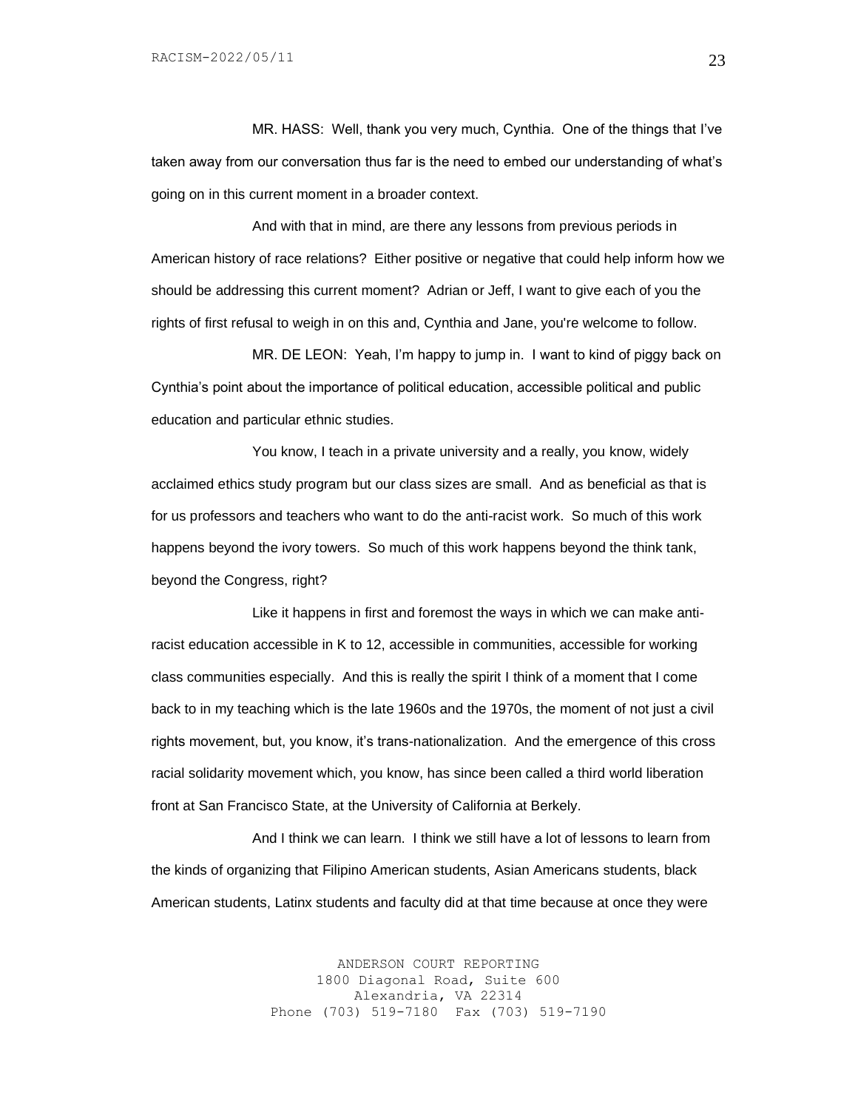MR. HASS: Well, thank you very much, Cynthia. One of the things that I've taken away from our conversation thus far is the need to embed our understanding of what's going on in this current moment in a broader context.

And with that in mind, are there any lessons from previous periods in American history of race relations? Either positive or negative that could help inform how we should be addressing this current moment? Adrian or Jeff, I want to give each of you the rights of first refusal to weigh in on this and, Cynthia and Jane, you're welcome to follow.

MR. DE LEON: Yeah, I'm happy to jump in. I want to kind of piggy back on Cynthia's point about the importance of political education, accessible political and public education and particular ethnic studies.

You know, I teach in a private university and a really, you know, widely acclaimed ethics study program but our class sizes are small. And as beneficial as that is for us professors and teachers who want to do the anti-racist work. So much of this work happens beyond the ivory towers. So much of this work happens beyond the think tank, beyond the Congress, right?

Like it happens in first and foremost the ways in which we can make antiracist education accessible in K to 12, accessible in communities, accessible for working class communities especially. And this is really the spirit I think of a moment that I come back to in my teaching which is the late 1960s and the 1970s, the moment of not just a civil rights movement, but, you know, it's trans-nationalization. And the emergence of this cross racial solidarity movement which, you know, has since been called a third world liberation front at San Francisco State, at the University of California at Berkely.

And I think we can learn. I think we still have a lot of lessons to learn from the kinds of organizing that Filipino American students, Asian Americans students, black American students, Latinx students and faculty did at that time because at once they were

> ANDERSON COURT REPORTING 1800 Diagonal Road, Suite 600 Alexandria, VA 22314 Phone (703) 519-7180 Fax (703) 519-7190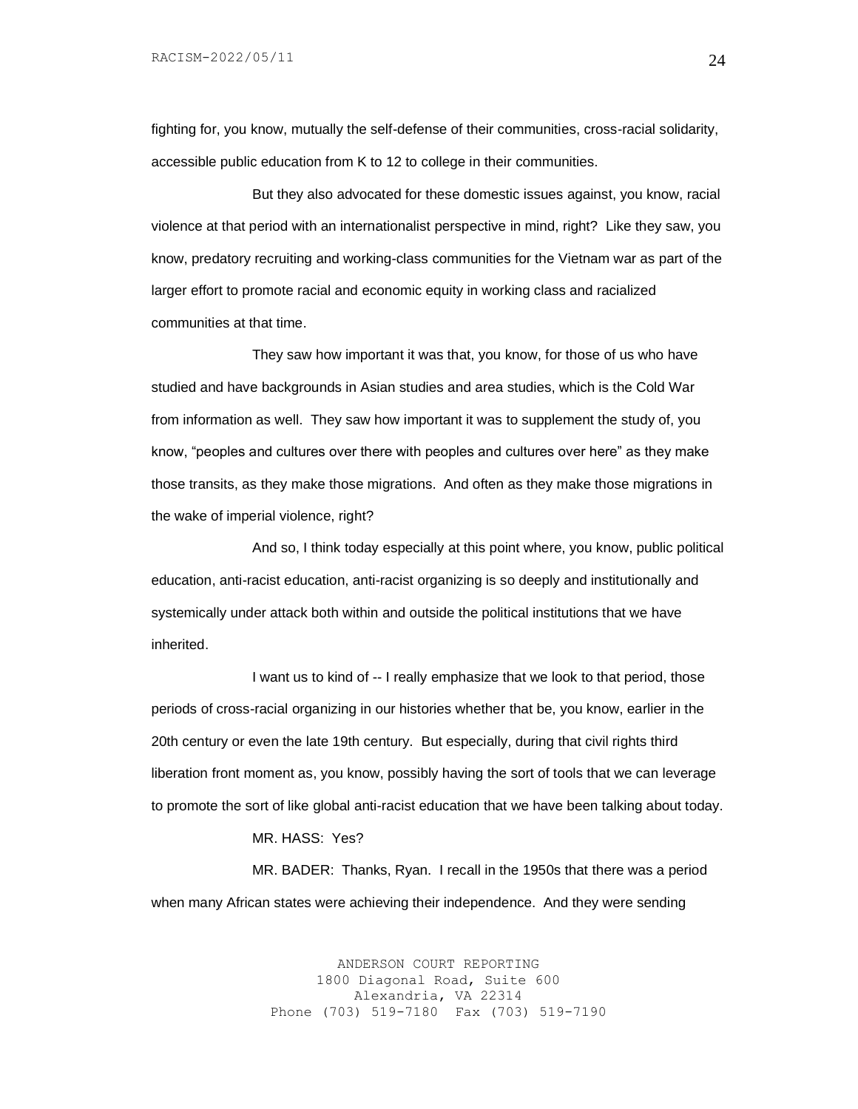fighting for, you know, mutually the self-defense of their communities, cross-racial solidarity, accessible public education from K to 12 to college in their communities.

But they also advocated for these domestic issues against, you know, racial violence at that period with an internationalist perspective in mind, right? Like they saw, you know, predatory recruiting and working-class communities for the Vietnam war as part of the larger effort to promote racial and economic equity in working class and racialized communities at that time.

They saw how important it was that, you know, for those of us who have studied and have backgrounds in Asian studies and area studies, which is the Cold War from information as well. They saw how important it was to supplement the study of, you know, "peoples and cultures over there with peoples and cultures over here" as they make those transits, as they make those migrations. And often as they make those migrations in the wake of imperial violence, right?

And so, I think today especially at this point where, you know, public political education, anti-racist education, anti-racist organizing is so deeply and institutionally and systemically under attack both within and outside the political institutions that we have inherited.

I want us to kind of -- I really emphasize that we look to that period, those periods of cross-racial organizing in our histories whether that be, you know, earlier in the 20th century or even the late 19th century. But especially, during that civil rights third liberation front moment as, you know, possibly having the sort of tools that we can leverage to promote the sort of like global anti-racist education that we have been talking about today.

#### MR. HASS: Yes?

MR. BADER: Thanks, Ryan. I recall in the 1950s that there was a period when many African states were achieving their independence. And they were sending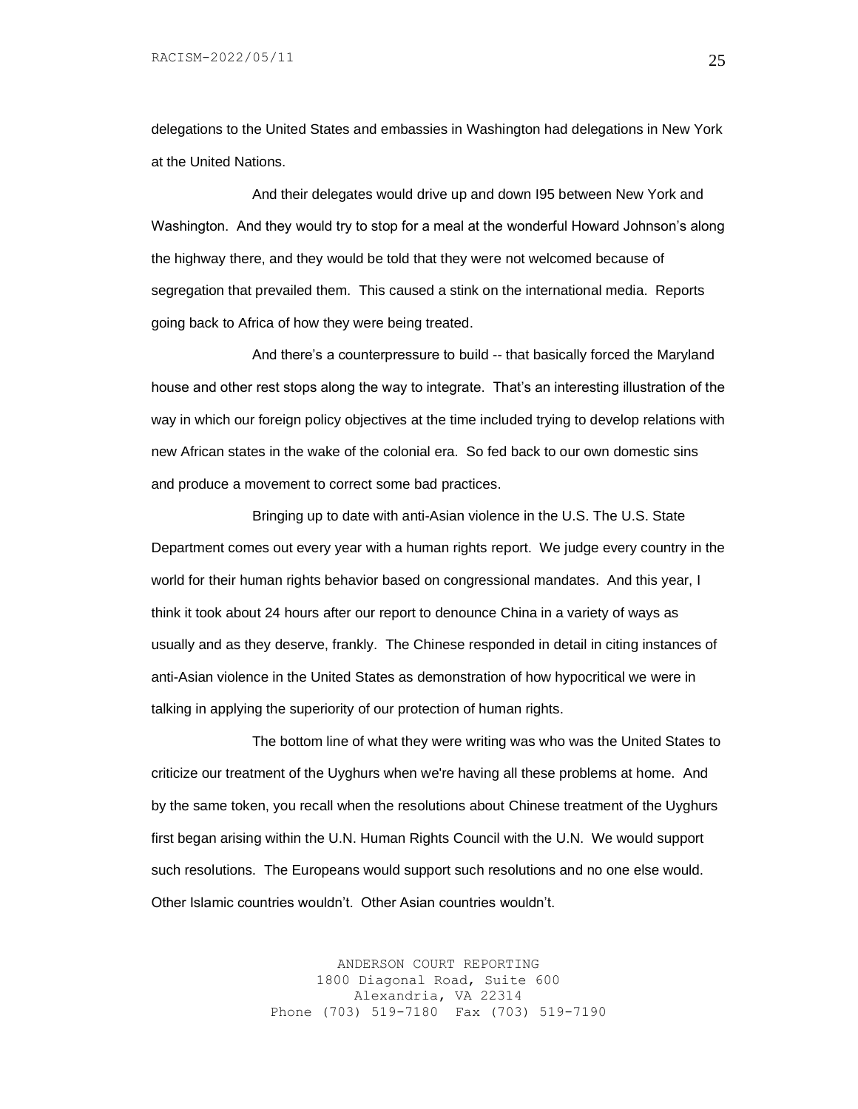delegations to the United States and embassies in Washington had delegations in New York at the United Nations.

And their delegates would drive up and down I95 between New York and Washington. And they would try to stop for a meal at the wonderful Howard Johnson's along the highway there, and they would be told that they were not welcomed because of segregation that prevailed them. This caused a stink on the international media. Reports going back to Africa of how they were being treated.

And there's a counterpressure to build -- that basically forced the Maryland house and other rest stops along the way to integrate. That's an interesting illustration of the way in which our foreign policy objectives at the time included trying to develop relations with new African states in the wake of the colonial era. So fed back to our own domestic sins and produce a movement to correct some bad practices.

Bringing up to date with anti-Asian violence in the U.S. The U.S. State Department comes out every year with a human rights report. We judge every country in the world for their human rights behavior based on congressional mandates. And this year, I think it took about 24 hours after our report to denounce China in a variety of ways as usually and as they deserve, frankly. The Chinese responded in detail in citing instances of anti-Asian violence in the United States as demonstration of how hypocritical we were in talking in applying the superiority of our protection of human rights.

The bottom line of what they were writing was who was the United States to criticize our treatment of the Uyghurs when we're having all these problems at home. And by the same token, you recall when the resolutions about Chinese treatment of the Uyghurs first began arising within the U.N. Human Rights Council with the U.N. We would support such resolutions. The Europeans would support such resolutions and no one else would. Other Islamic countries wouldn't. Other Asian countries wouldn't.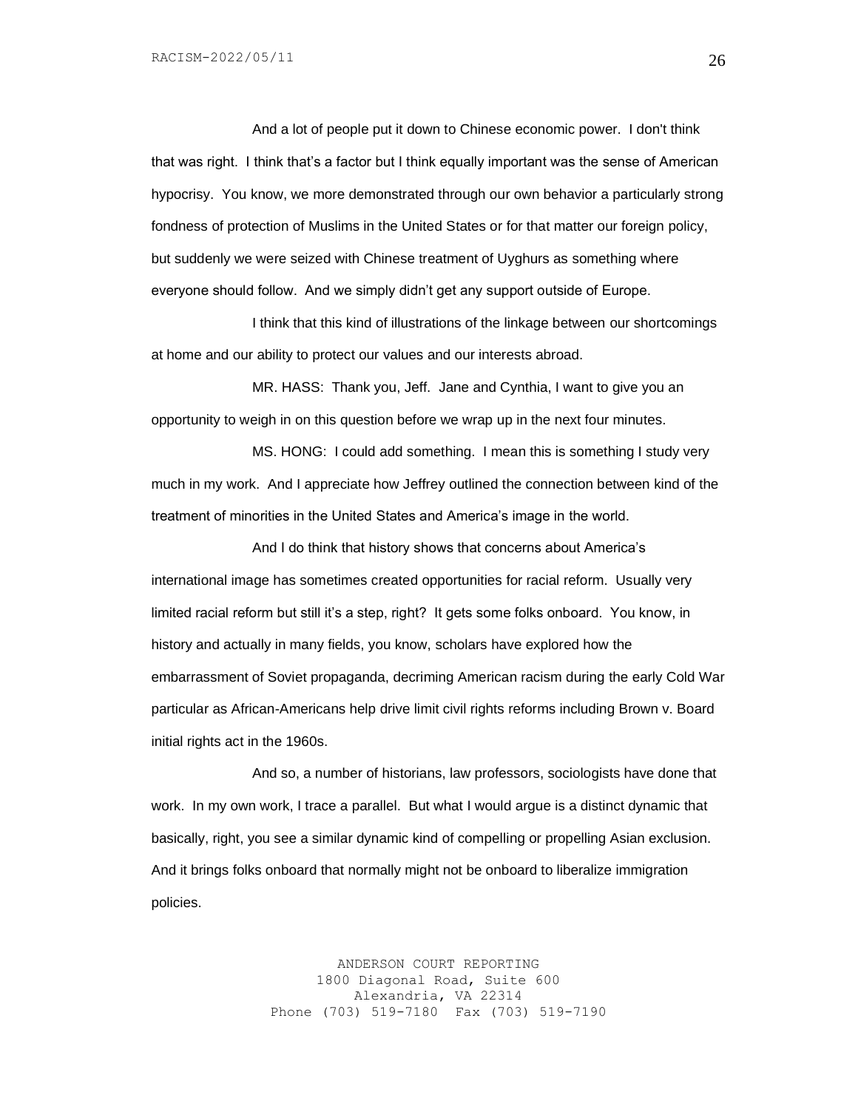And a lot of people put it down to Chinese economic power. I don't think that was right. I think that's a factor but I think equally important was the sense of American hypocrisy. You know, we more demonstrated through our own behavior a particularly strong fondness of protection of Muslims in the United States or for that matter our foreign policy, but suddenly we were seized with Chinese treatment of Uyghurs as something where everyone should follow. And we simply didn't get any support outside of Europe.

I think that this kind of illustrations of the linkage between our shortcomings at home and our ability to protect our values and our interests abroad.

MR. HASS: Thank you, Jeff. Jane and Cynthia, I want to give you an opportunity to weigh in on this question before we wrap up in the next four minutes.

MS. HONG: I could add something. I mean this is something I study very much in my work. And I appreciate how Jeffrey outlined the connection between kind of the treatment of minorities in the United States and America's image in the world.

And I do think that history shows that concerns about America's international image has sometimes created opportunities for racial reform. Usually very limited racial reform but still it's a step, right? It gets some folks onboard. You know, in history and actually in many fields, you know, scholars have explored how the embarrassment of Soviet propaganda, decriming American racism during the early Cold War particular as African-Americans help drive limit civil rights reforms including Brown v. Board initial rights act in the 1960s.

And so, a number of historians, law professors, sociologists have done that work. In my own work, I trace a parallel. But what I would argue is a distinct dynamic that basically, right, you see a similar dynamic kind of compelling or propelling Asian exclusion. And it brings folks onboard that normally might not be onboard to liberalize immigration policies.

> ANDERSON COURT REPORTING 1800 Diagonal Road, Suite 600 Alexandria, VA 22314 Phone (703) 519-7180 Fax (703) 519-7190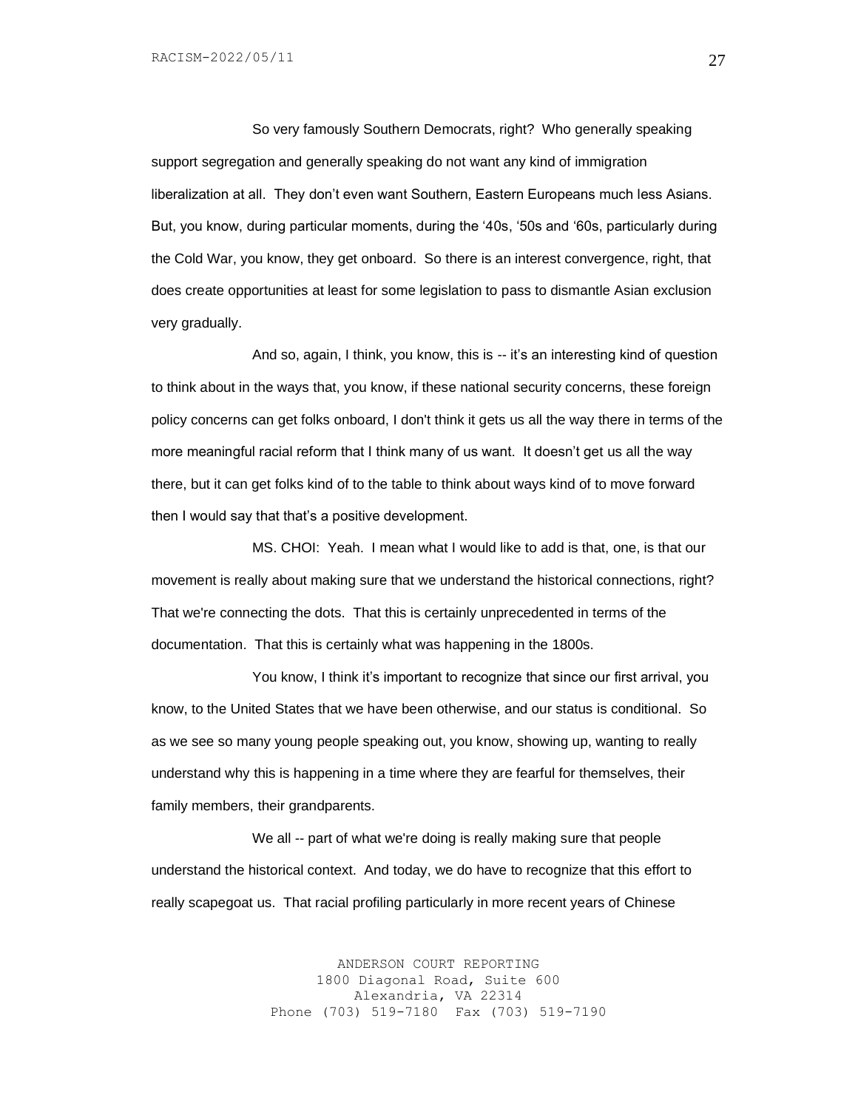So very famously Southern Democrats, right? Who generally speaking support segregation and generally speaking do not want any kind of immigration liberalization at all. They don't even want Southern, Eastern Europeans much less Asians. But, you know, during particular moments, during the '40s, '50s and '60s, particularly during the Cold War, you know, they get onboard. So there is an interest convergence, right, that does create opportunities at least for some legislation to pass to dismantle Asian exclusion very gradually.

And so, again, I think, you know, this is -- it's an interesting kind of question to think about in the ways that, you know, if these national security concerns, these foreign policy concerns can get folks onboard, I don't think it gets us all the way there in terms of the more meaningful racial reform that I think many of us want. It doesn't get us all the way there, but it can get folks kind of to the table to think about ways kind of to move forward then I would say that that's a positive development.

MS. CHOI: Yeah. I mean what I would like to add is that, one, is that our movement is really about making sure that we understand the historical connections, right? That we're connecting the dots. That this is certainly unprecedented in terms of the documentation. That this is certainly what was happening in the 1800s.

You know, I think it's important to recognize that since our first arrival, you know, to the United States that we have been otherwise, and our status is conditional. So as we see so many young people speaking out, you know, showing up, wanting to really understand why this is happening in a time where they are fearful for themselves, their family members, their grandparents.

We all -- part of what we're doing is really making sure that people understand the historical context. And today, we do have to recognize that this effort to really scapegoat us. That racial profiling particularly in more recent years of Chinese

> ANDERSON COURT REPORTING 1800 Diagonal Road, Suite 600 Alexandria, VA 22314 Phone (703) 519-7180 Fax (703) 519-7190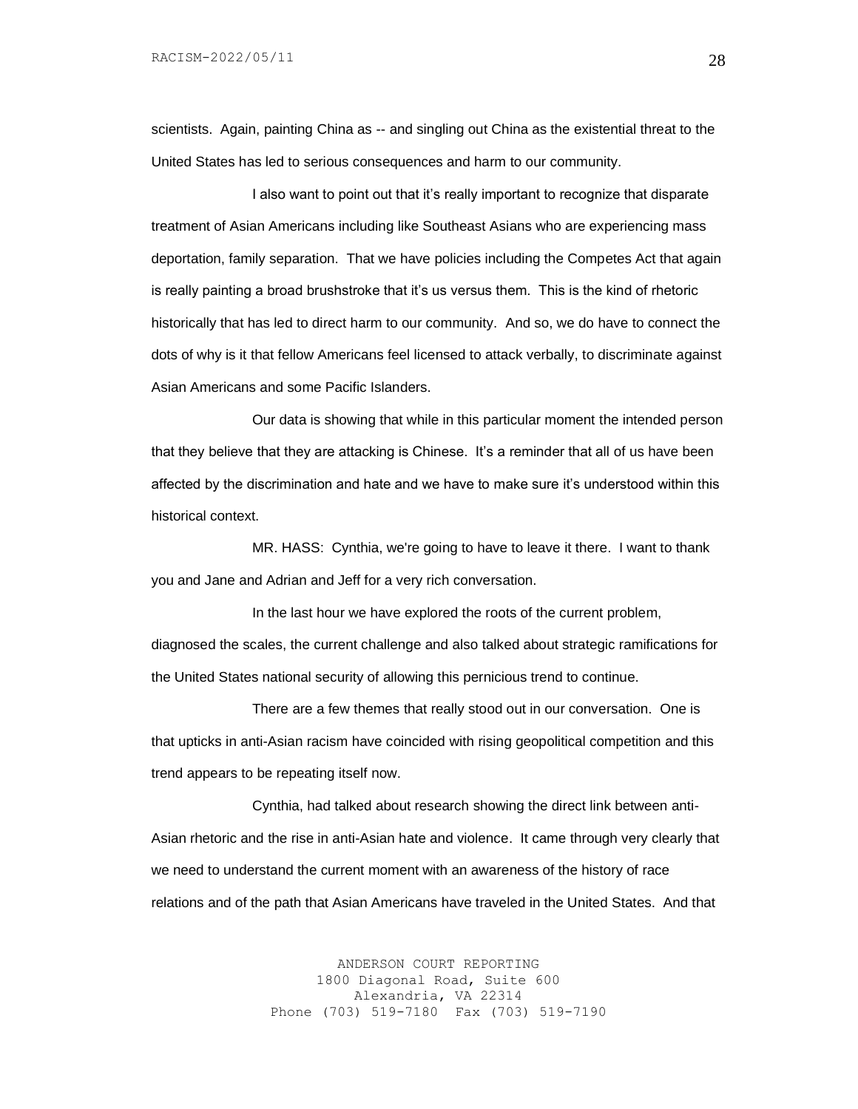scientists. Again, painting China as -- and singling out China as the existential threat to the United States has led to serious consequences and harm to our community.

I also want to point out that it's really important to recognize that disparate treatment of Asian Americans including like Southeast Asians who are experiencing mass deportation, family separation. That we have policies including the Competes Act that again is really painting a broad brushstroke that it's us versus them. This is the kind of rhetoric historically that has led to direct harm to our community. And so, we do have to connect the dots of why is it that fellow Americans feel licensed to attack verbally, to discriminate against Asian Americans and some Pacific Islanders.

Our data is showing that while in this particular moment the intended person that they believe that they are attacking is Chinese. It's a reminder that all of us have been affected by the discrimination and hate and we have to make sure it's understood within this historical context.

MR. HASS: Cynthia, we're going to have to leave it there. I want to thank you and Jane and Adrian and Jeff for a very rich conversation.

In the last hour we have explored the roots of the current problem, diagnosed the scales, the current challenge and also talked about strategic ramifications for the United States national security of allowing this pernicious trend to continue.

There are a few themes that really stood out in our conversation. One is that upticks in anti-Asian racism have coincided with rising geopolitical competition and this trend appears to be repeating itself now.

Cynthia, had talked about research showing the direct link between anti-Asian rhetoric and the rise in anti-Asian hate and violence. It came through very clearly that we need to understand the current moment with an awareness of the history of race relations and of the path that Asian Americans have traveled in the United States. And that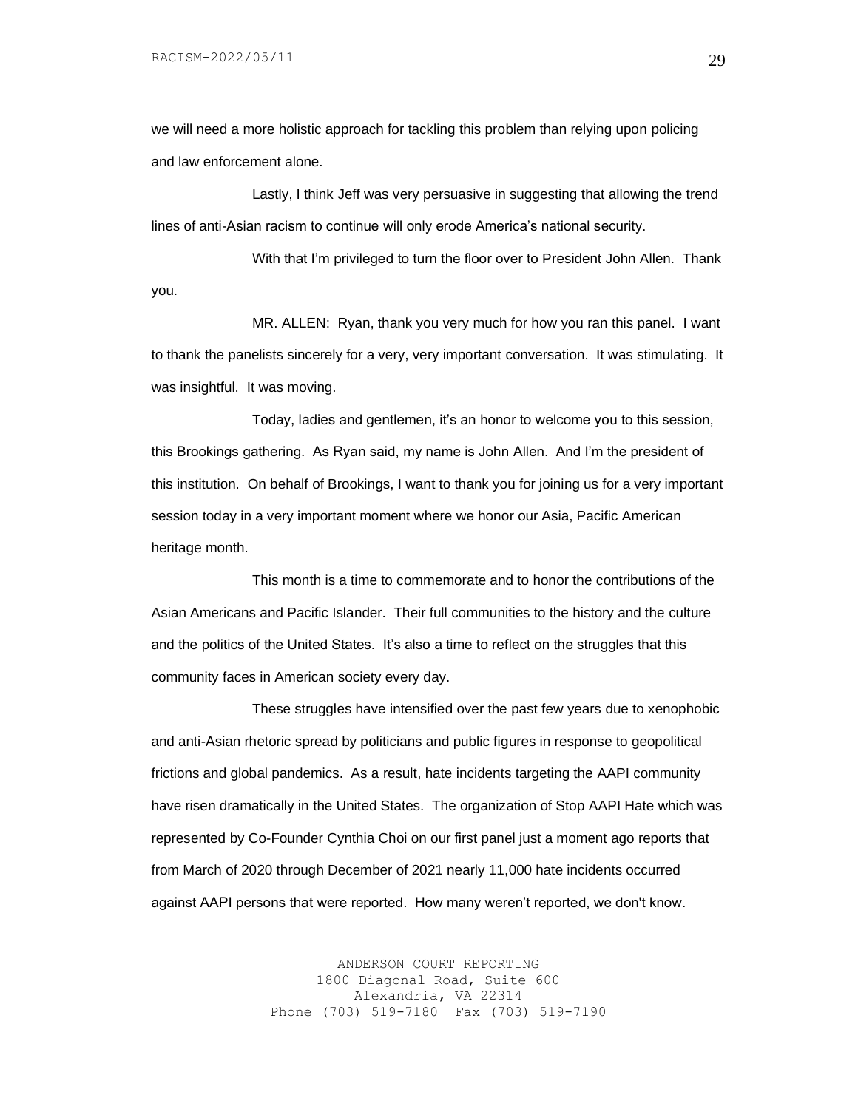we will need a more holistic approach for tackling this problem than relying upon policing and law enforcement alone.

Lastly, I think Jeff was very persuasive in suggesting that allowing the trend lines of anti-Asian racism to continue will only erode America's national security.

With that I'm privileged to turn the floor over to President John Allen. Thank you.

MR. ALLEN: Ryan, thank you very much for how you ran this panel. I want to thank the panelists sincerely for a very, very important conversation. It was stimulating. It was insightful. It was moving.

Today, ladies and gentlemen, it's an honor to welcome you to this session, this Brookings gathering. As Ryan said, my name is John Allen. And I'm the president of this institution. On behalf of Brookings, I want to thank you for joining us for a very important session today in a very important moment where we honor our Asia, Pacific American heritage month.

This month is a time to commemorate and to honor the contributions of the Asian Americans and Pacific Islander. Their full communities to the history and the culture and the politics of the United States. It's also a time to reflect on the struggles that this community faces in American society every day.

These struggles have intensified over the past few years due to xenophobic and anti-Asian rhetoric spread by politicians and public figures in response to geopolitical frictions and global pandemics. As a result, hate incidents targeting the AAPI community have risen dramatically in the United States. The organization of Stop AAPI Hate which was represented by Co-Founder Cynthia Choi on our first panel just a moment ago reports that from March of 2020 through December of 2021 nearly 11,000 hate incidents occurred against AAPI persons that were reported. How many weren't reported, we don't know.

> ANDERSON COURT REPORTING 1800 Diagonal Road, Suite 600 Alexandria, VA 22314 Phone (703) 519-7180 Fax (703) 519-7190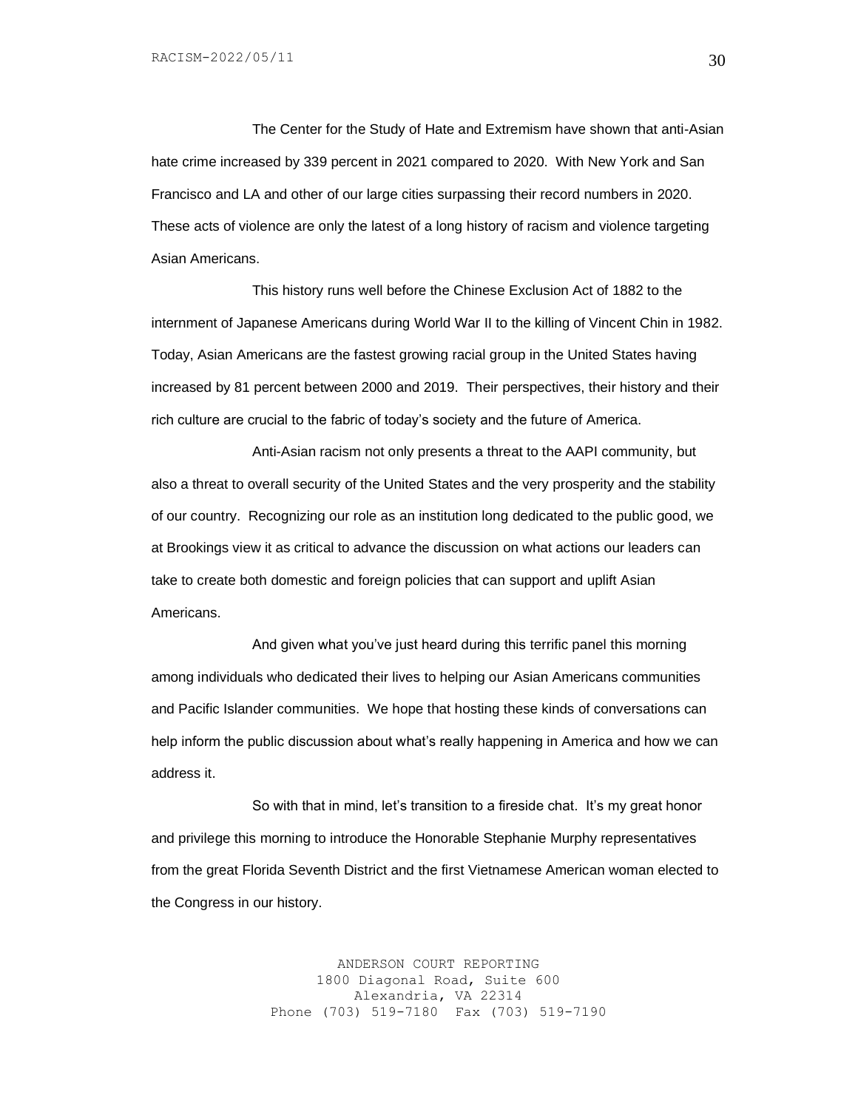The Center for the Study of Hate and Extremism have shown that anti-Asian hate crime increased by 339 percent in 2021 compared to 2020. With New York and San Francisco and LA and other of our large cities surpassing their record numbers in 2020. These acts of violence are only the latest of a long history of racism and violence targeting Asian Americans.

This history runs well before the Chinese Exclusion Act of 1882 to the internment of Japanese Americans during World War II to the killing of Vincent Chin in 1982. Today, Asian Americans are the fastest growing racial group in the United States having increased by 81 percent between 2000 and 2019. Their perspectives, their history and their rich culture are crucial to the fabric of today's society and the future of America.

Anti-Asian racism not only presents a threat to the AAPI community, but also a threat to overall security of the United States and the very prosperity and the stability of our country. Recognizing our role as an institution long dedicated to the public good, we at Brookings view it as critical to advance the discussion on what actions our leaders can take to create both domestic and foreign policies that can support and uplift Asian Americans.

And given what you've just heard during this terrific panel this morning among individuals who dedicated their lives to helping our Asian Americans communities and Pacific Islander communities. We hope that hosting these kinds of conversations can help inform the public discussion about what's really happening in America and how we can address it.

So with that in mind, let's transition to a fireside chat. It's my great honor and privilege this morning to introduce the Honorable Stephanie Murphy representatives from the great Florida Seventh District and the first Vietnamese American woman elected to the Congress in our history.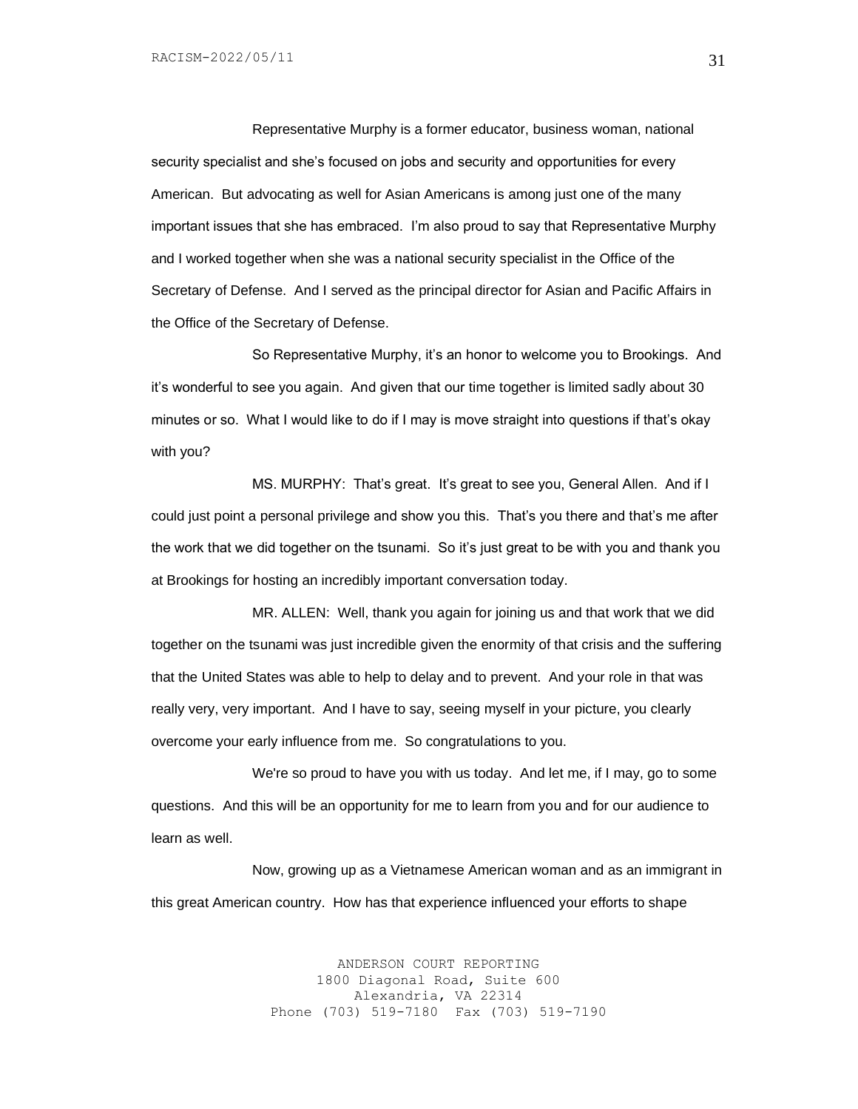Representative Murphy is a former educator, business woman, national security specialist and she's focused on jobs and security and opportunities for every American. But advocating as well for Asian Americans is among just one of the many important issues that she has embraced. I'm also proud to say that Representative Murphy and I worked together when she was a national security specialist in the Office of the Secretary of Defense. And I served as the principal director for Asian and Pacific Affairs in the Office of the Secretary of Defense.

So Representative Murphy, it's an honor to welcome you to Brookings. And it's wonderful to see you again. And given that our time together is limited sadly about 30 minutes or so. What I would like to do if I may is move straight into questions if that's okay with you?

MS. MURPHY: That's great. It's great to see you, General Allen. And if I could just point a personal privilege and show you this. That's you there and that's me after the work that we did together on the tsunami. So it's just great to be with you and thank you at Brookings for hosting an incredibly important conversation today.

MR. ALLEN: Well, thank you again for joining us and that work that we did together on the tsunami was just incredible given the enormity of that crisis and the suffering that the United States was able to help to delay and to prevent. And your role in that was really very, very important. And I have to say, seeing myself in your picture, you clearly overcome your early influence from me. So congratulations to you.

We're so proud to have you with us today. And let me, if I may, go to some questions. And this will be an opportunity for me to learn from you and for our audience to learn as well.

Now, growing up as a Vietnamese American woman and as an immigrant in this great American country. How has that experience influenced your efforts to shape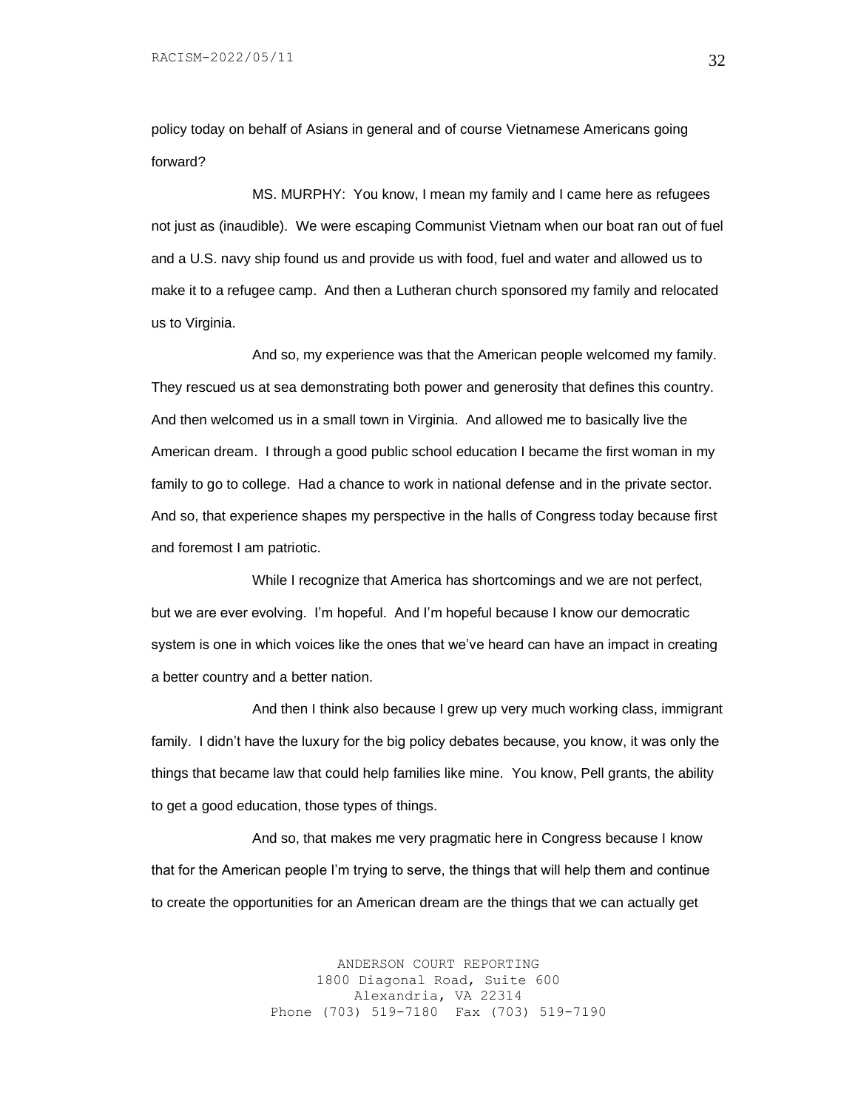policy today on behalf of Asians in general and of course Vietnamese Americans going forward?

MS. MURPHY: You know, I mean my family and I came here as refugees not just as (inaudible). We were escaping Communist Vietnam when our boat ran out of fuel and a U.S. navy ship found us and provide us with food, fuel and water and allowed us to make it to a refugee camp. And then a Lutheran church sponsored my family and relocated us to Virginia.

And so, my experience was that the American people welcomed my family. They rescued us at sea demonstrating both power and generosity that defines this country. And then welcomed us in a small town in Virginia. And allowed me to basically live the American dream. I through a good public school education I became the first woman in my family to go to college. Had a chance to work in national defense and in the private sector. And so, that experience shapes my perspective in the halls of Congress today because first and foremost I am patriotic.

While I recognize that America has shortcomings and we are not perfect, but we are ever evolving. I'm hopeful. And I'm hopeful because I know our democratic system is one in which voices like the ones that we've heard can have an impact in creating a better country and a better nation.

And then I think also because I grew up very much working class, immigrant family. I didn't have the luxury for the big policy debates because, you know, it was only the things that became law that could help families like mine. You know, Pell grants, the ability to get a good education, those types of things.

And so, that makes me very pragmatic here in Congress because I know that for the American people I'm trying to serve, the things that will help them and continue to create the opportunities for an American dream are the things that we can actually get

> ANDERSON COURT REPORTING 1800 Diagonal Road, Suite 600 Alexandria, VA 22314 Phone (703) 519-7180 Fax (703) 519-7190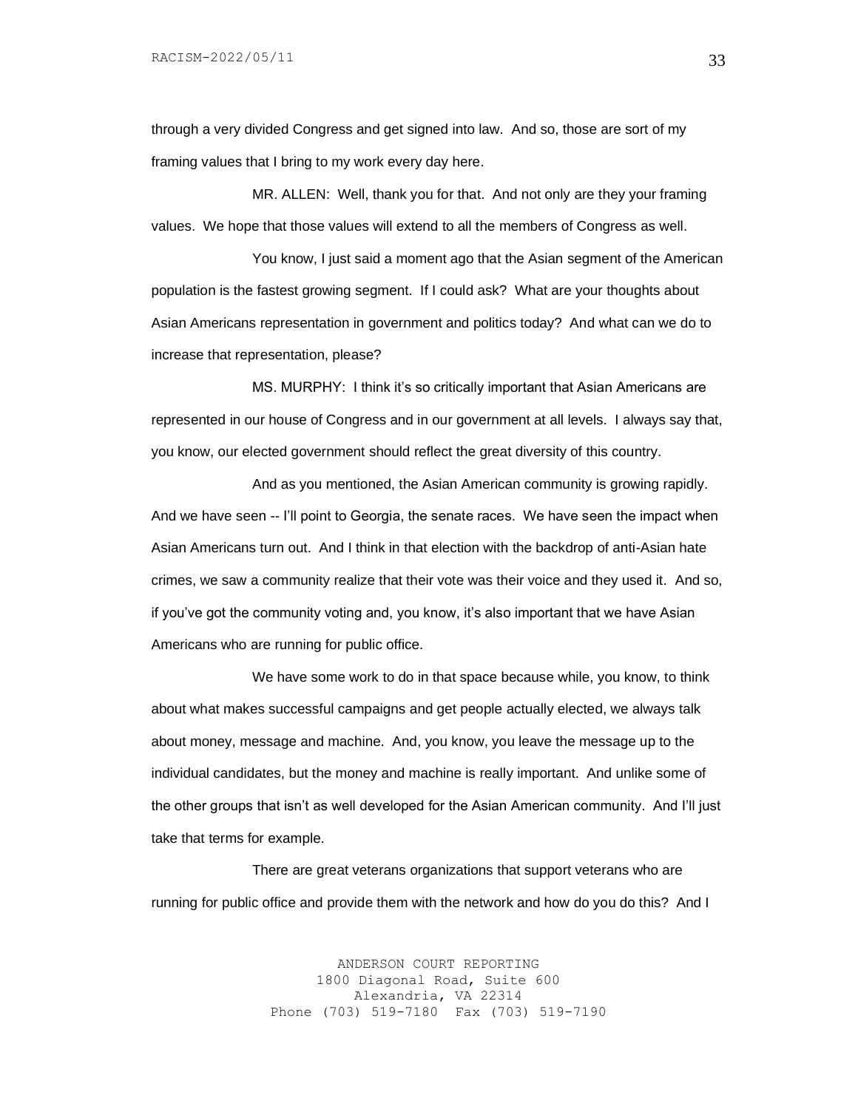through a very divided Congress and get signed into law. And so, those are sort of my framing values that I bring to my work every day here.

MR. ALLEN: Well, thank you for that. And not only are they your framing values. We hope that those values will extend to all the members of Congress as well.

You know, I just said a moment ago that the Asian segment of the American population is the fastest growing segment. If I could ask? What are your thoughts about Asian Americans representation in government and politics today? And what can we do to increase that representation, please?

MS. MURPHY: I think it's so critically important that Asian Americans are represented in our house of Congress and in our government at all levels. I always say that, you know, our elected government should reflect the great diversity of this country.

And as you mentioned, the Asian American community is growing rapidly. And we have seen -- I'll point to Georgia, the senate races. We have seen the impact when Asian Americans turn out. And I think in that election with the backdrop of anti-Asian hate crimes, we saw a community realize that their vote was their voice and they used it. And so, if you've got the community voting and, you know, it's also important that we have Asian Americans who are running for public office.

We have some work to do in that space because while, you know, to think about what makes successful campaigns and get people actually elected, we always talk about money, message and machine. And, you know, you leave the message up to the individual candidates, but the money and machine is really important. And unlike some of the other groups that isn't as well developed for the Asian American community. And I'll just take that terms for example.

There are great veterans organizations that support veterans who are running for public office and provide them with the network and how do you do this? And I

> ANDERSON COURT REPORTING 1800 Diagonal Road, Suite 600 Alexandria, VA 22314 Phone (703) 519-7180 Fax (703) 519-7190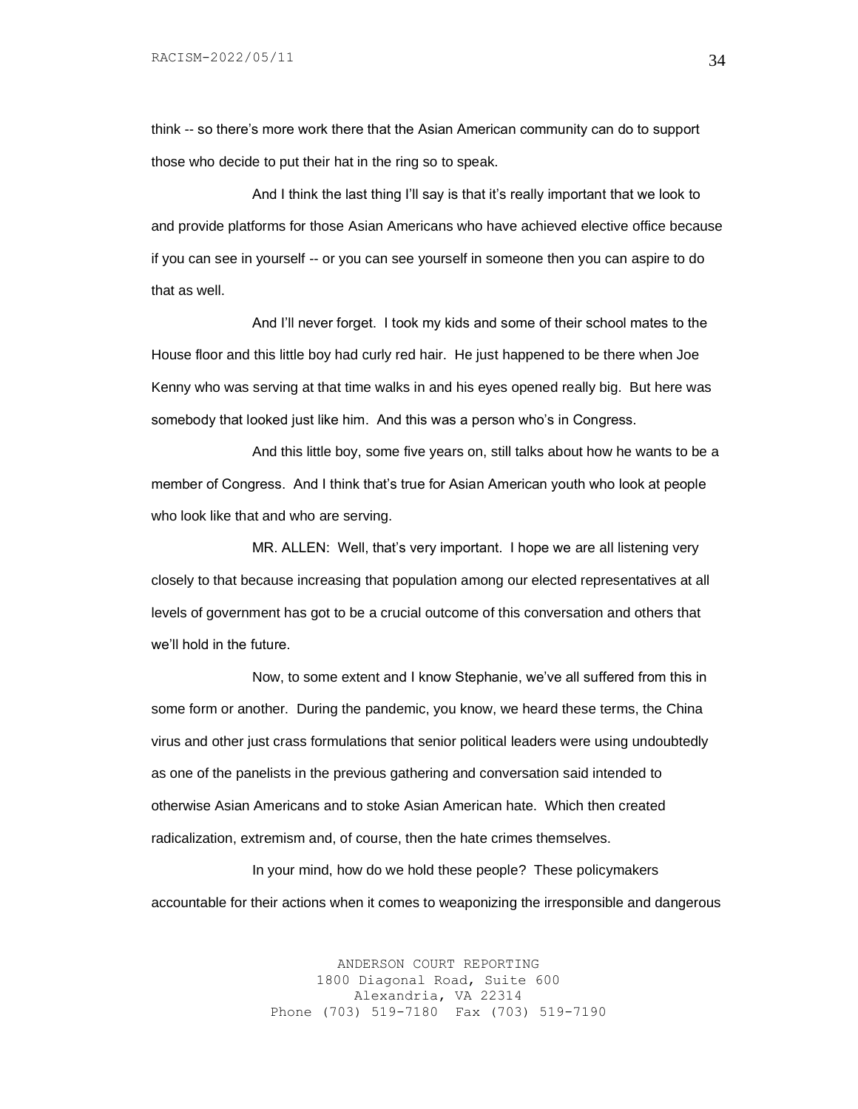think -- so there's more work there that the Asian American community can do to support those who decide to put their hat in the ring so to speak.

And I think the last thing I'll say is that it's really important that we look to and provide platforms for those Asian Americans who have achieved elective office because if you can see in yourself -- or you can see yourself in someone then you can aspire to do that as well.

And I'll never forget. I took my kids and some of their school mates to the House floor and this little boy had curly red hair. He just happened to be there when Joe Kenny who was serving at that time walks in and his eyes opened really big. But here was somebody that looked just like him. And this was a person who's in Congress.

And this little boy, some five years on, still talks about how he wants to be a member of Congress. And I think that's true for Asian American youth who look at people who look like that and who are serving.

MR. ALLEN: Well, that's very important. I hope we are all listening very closely to that because increasing that population among our elected representatives at all levels of government has got to be a crucial outcome of this conversation and others that we'll hold in the future.

Now, to some extent and I know Stephanie, we've all suffered from this in some form or another. During the pandemic, you know, we heard these terms, the China virus and other just crass formulations that senior political leaders were using undoubtedly as one of the panelists in the previous gathering and conversation said intended to otherwise Asian Americans and to stoke Asian American hate. Which then created radicalization, extremism and, of course, then the hate crimes themselves.

In your mind, how do we hold these people? These policymakers accountable for their actions when it comes to weaponizing the irresponsible and dangerous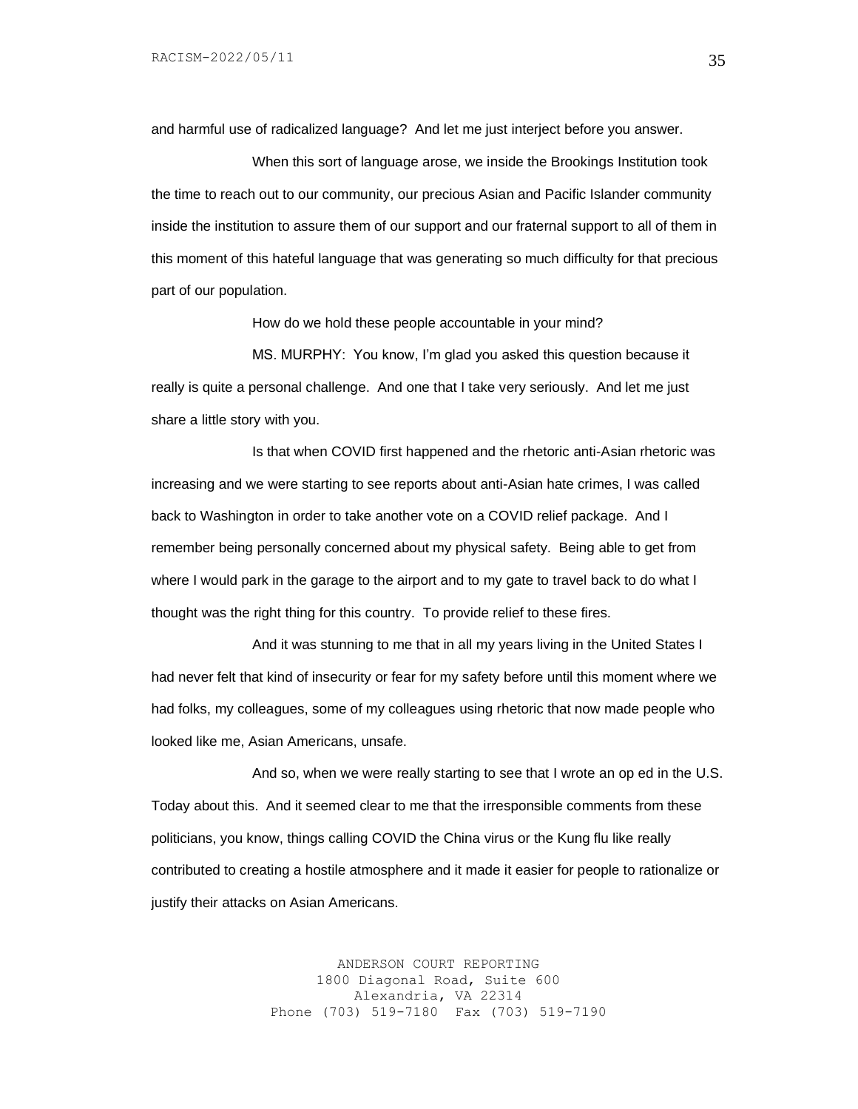and harmful use of radicalized language? And let me just interject before you answer.

When this sort of language arose, we inside the Brookings Institution took the time to reach out to our community, our precious Asian and Pacific Islander community inside the institution to assure them of our support and our fraternal support to all of them in this moment of this hateful language that was generating so much difficulty for that precious part of our population.

How do we hold these people accountable in your mind?

MS. MURPHY: You know, I'm glad you asked this question because it really is quite a personal challenge. And one that I take very seriously. And let me just share a little story with you.

Is that when COVID first happened and the rhetoric anti-Asian rhetoric was increasing and we were starting to see reports about anti-Asian hate crimes, I was called back to Washington in order to take another vote on a COVID relief package. And I remember being personally concerned about my physical safety. Being able to get from where I would park in the garage to the airport and to my gate to travel back to do what I thought was the right thing for this country. To provide relief to these fires.

And it was stunning to me that in all my years living in the United States I had never felt that kind of insecurity or fear for my safety before until this moment where we had folks, my colleagues, some of my colleagues using rhetoric that now made people who looked like me, Asian Americans, unsafe.

And so, when we were really starting to see that I wrote an op ed in the U.S. Today about this. And it seemed clear to me that the irresponsible comments from these politicians, you know, things calling COVID the China virus or the Kung flu like really contributed to creating a hostile atmosphere and it made it easier for people to rationalize or justify their attacks on Asian Americans.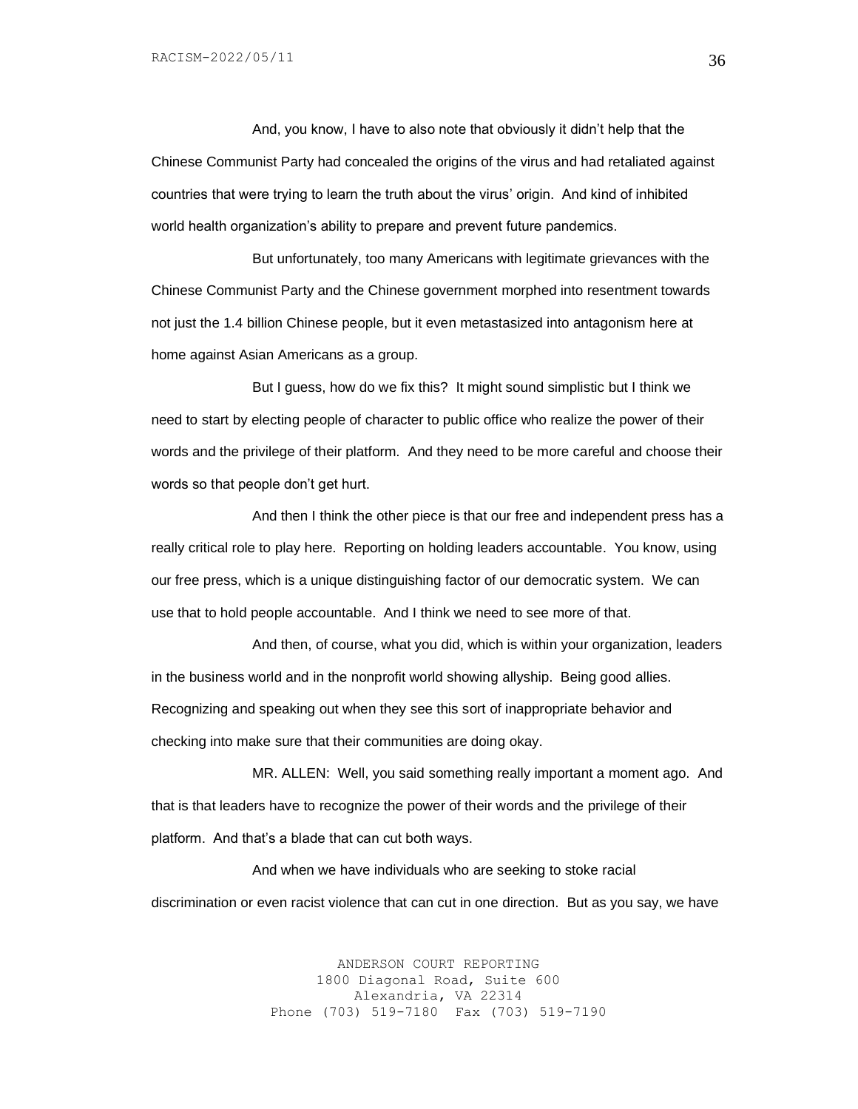And, you know, I have to also note that obviously it didn't help that the Chinese Communist Party had concealed the origins of the virus and had retaliated against countries that were trying to learn the truth about the virus' origin. And kind of inhibited world health organization's ability to prepare and prevent future pandemics.

But unfortunately, too many Americans with legitimate grievances with the Chinese Communist Party and the Chinese government morphed into resentment towards not just the 1.4 billion Chinese people, but it even metastasized into antagonism here at home against Asian Americans as a group.

But I guess, how do we fix this? It might sound simplistic but I think we need to start by electing people of character to public office who realize the power of their words and the privilege of their platform. And they need to be more careful and choose their words so that people don't get hurt.

And then I think the other piece is that our free and independent press has a really critical role to play here. Reporting on holding leaders accountable. You know, using our free press, which is a unique distinguishing factor of our democratic system. We can use that to hold people accountable. And I think we need to see more of that.

And then, of course, what you did, which is within your organization, leaders in the business world and in the nonprofit world showing allyship. Being good allies. Recognizing and speaking out when they see this sort of inappropriate behavior and checking into make sure that their communities are doing okay.

MR. ALLEN: Well, you said something really important a moment ago. And that is that leaders have to recognize the power of their words and the privilege of their platform. And that's a blade that can cut both ways.

And when we have individuals who are seeking to stoke racial discrimination or even racist violence that can cut in one direction. But as you say, we have

> ANDERSON COURT REPORTING 1800 Diagonal Road, Suite 600 Alexandria, VA 22314 Phone (703) 519-7180 Fax (703) 519-7190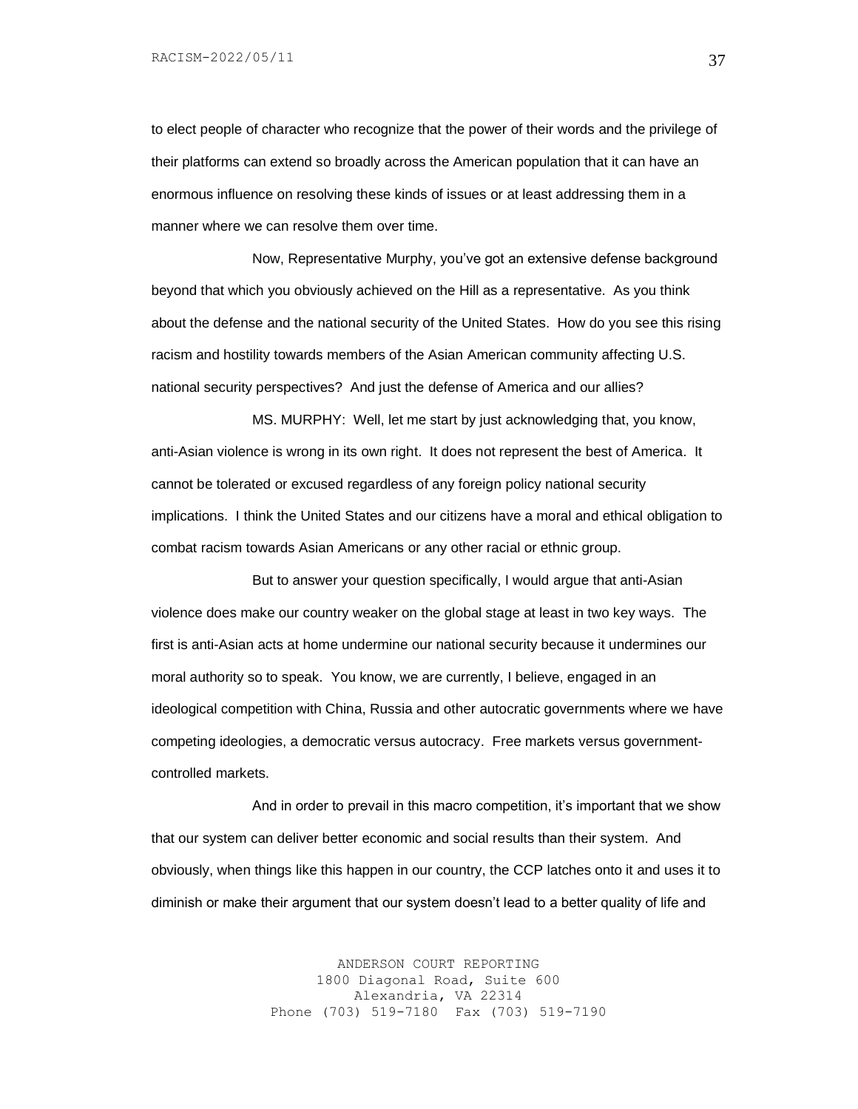to elect people of character who recognize that the power of their words and the privilege of their platforms can extend so broadly across the American population that it can have an enormous influence on resolving these kinds of issues or at least addressing them in a manner where we can resolve them over time.

Now, Representative Murphy, you've got an extensive defense background beyond that which you obviously achieved on the Hill as a representative. As you think about the defense and the national security of the United States. How do you see this rising racism and hostility towards members of the Asian American community affecting U.S. national security perspectives? And just the defense of America and our allies?

MS. MURPHY: Well, let me start by just acknowledging that, you know, anti-Asian violence is wrong in its own right. It does not represent the best of America. It cannot be tolerated or excused regardless of any foreign policy national security implications. I think the United States and our citizens have a moral and ethical obligation to combat racism towards Asian Americans or any other racial or ethnic group.

But to answer your question specifically, I would argue that anti-Asian violence does make our country weaker on the global stage at least in two key ways. The first is anti-Asian acts at home undermine our national security because it undermines our moral authority so to speak. You know, we are currently, I believe, engaged in an ideological competition with China, Russia and other autocratic governments where we have competing ideologies, a democratic versus autocracy. Free markets versus governmentcontrolled markets.

And in order to prevail in this macro competition, it's important that we show that our system can deliver better economic and social results than their system. And obviously, when things like this happen in our country, the CCP latches onto it and uses it to diminish or make their argument that our system doesn't lead to a better quality of life and

> ANDERSON COURT REPORTING 1800 Diagonal Road, Suite 600 Alexandria, VA 22314 Phone (703) 519-7180 Fax (703) 519-7190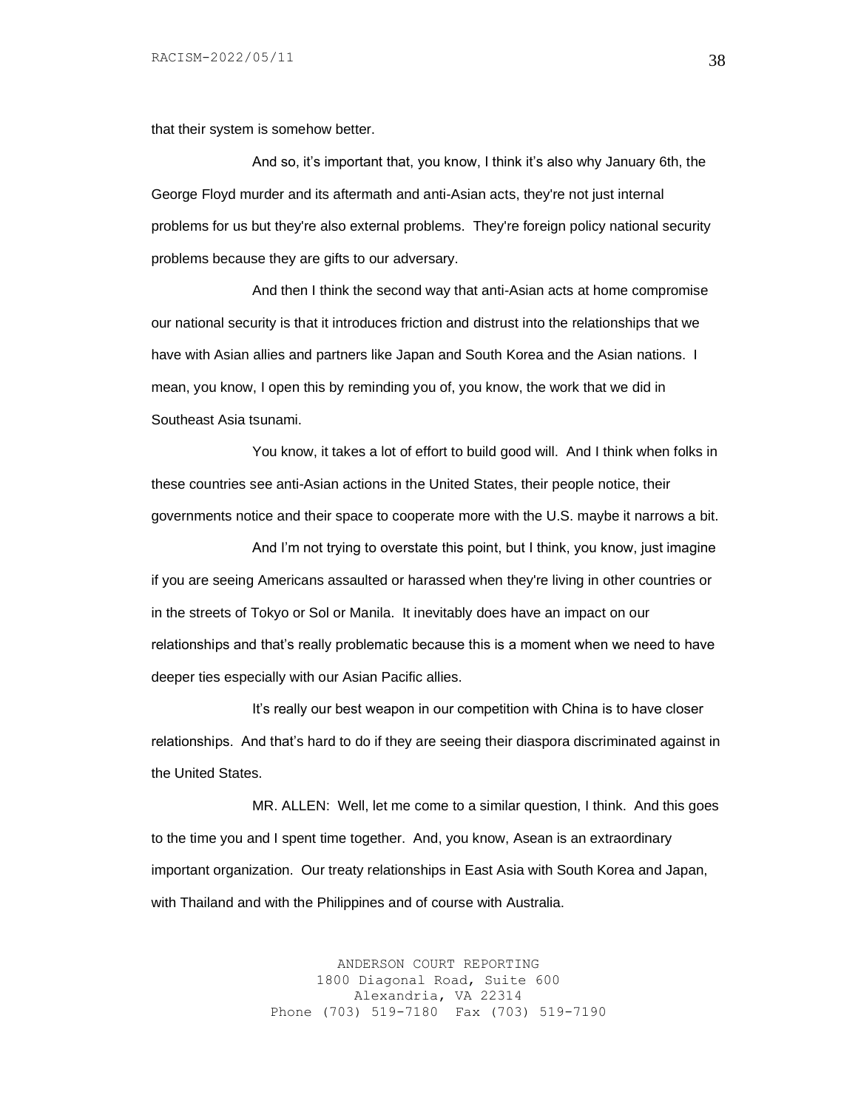that their system is somehow better.

And so, it's important that, you know, I think it's also why January 6th, the George Floyd murder and its aftermath and anti-Asian acts, they're not just internal problems for us but they're also external problems. They're foreign policy national security problems because they are gifts to our adversary.

And then I think the second way that anti-Asian acts at home compromise our national security is that it introduces friction and distrust into the relationships that we have with Asian allies and partners like Japan and South Korea and the Asian nations. I mean, you know, I open this by reminding you of, you know, the work that we did in Southeast Asia tsunami.

You know, it takes a lot of effort to build good will. And I think when folks in these countries see anti-Asian actions in the United States, their people notice, their governments notice and their space to cooperate more with the U.S. maybe it narrows a bit.

And I'm not trying to overstate this point, but I think, you know, just imagine if you are seeing Americans assaulted or harassed when they're living in other countries or in the streets of Tokyo or Sol or Manila. It inevitably does have an impact on our relationships and that's really problematic because this is a moment when we need to have deeper ties especially with our Asian Pacific allies.

It's really our best weapon in our competition with China is to have closer relationships. And that's hard to do if they are seeing their diaspora discriminated against in the United States.

MR. ALLEN: Well, let me come to a similar question, I think. And this goes to the time you and I spent time together. And, you know, Asean is an extraordinary important organization. Our treaty relationships in East Asia with South Korea and Japan, with Thailand and with the Philippines and of course with Australia.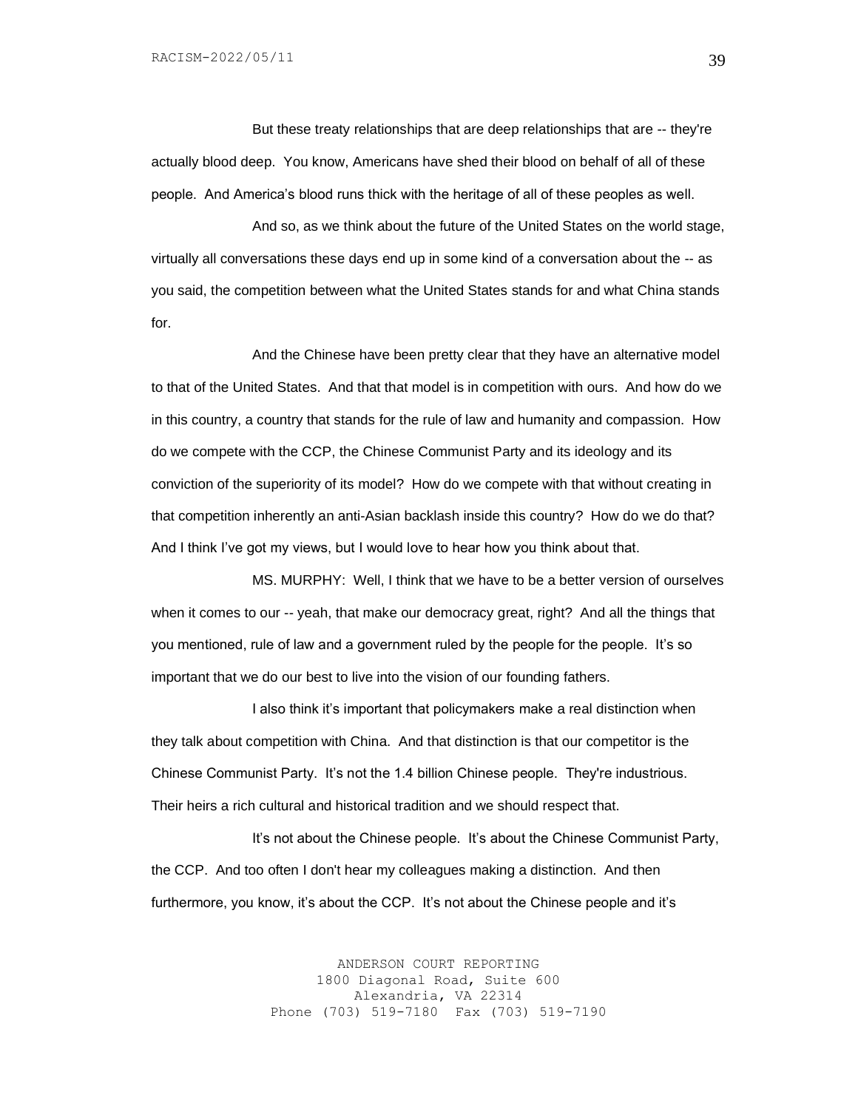But these treaty relationships that are deep relationships that are -- they're actually blood deep. You know, Americans have shed their blood on behalf of all of these people. And America's blood runs thick with the heritage of all of these peoples as well.

And so, as we think about the future of the United States on the world stage, virtually all conversations these days end up in some kind of a conversation about the -- as you said, the competition between what the United States stands for and what China stands for.

And the Chinese have been pretty clear that they have an alternative model to that of the United States. And that that model is in competition with ours. And how do we in this country, a country that stands for the rule of law and humanity and compassion. How do we compete with the CCP, the Chinese Communist Party and its ideology and its conviction of the superiority of its model? How do we compete with that without creating in that competition inherently an anti-Asian backlash inside this country? How do we do that? And I think I've got my views, but I would love to hear how you think about that.

MS. MURPHY: Well, I think that we have to be a better version of ourselves when it comes to our -- yeah, that make our democracy great, right? And all the things that you mentioned, rule of law and a government ruled by the people for the people. It's so important that we do our best to live into the vision of our founding fathers.

I also think it's important that policymakers make a real distinction when they talk about competition with China. And that distinction is that our competitor is the Chinese Communist Party. It's not the 1.4 billion Chinese people. They're industrious. Their heirs a rich cultural and historical tradition and we should respect that.

It's not about the Chinese people. It's about the Chinese Communist Party, the CCP. And too often I don't hear my colleagues making a distinction. And then furthermore, you know, it's about the CCP. It's not about the Chinese people and it's

> ANDERSON COURT REPORTING 1800 Diagonal Road, Suite 600 Alexandria, VA 22314 Phone (703) 519-7180 Fax (703) 519-7190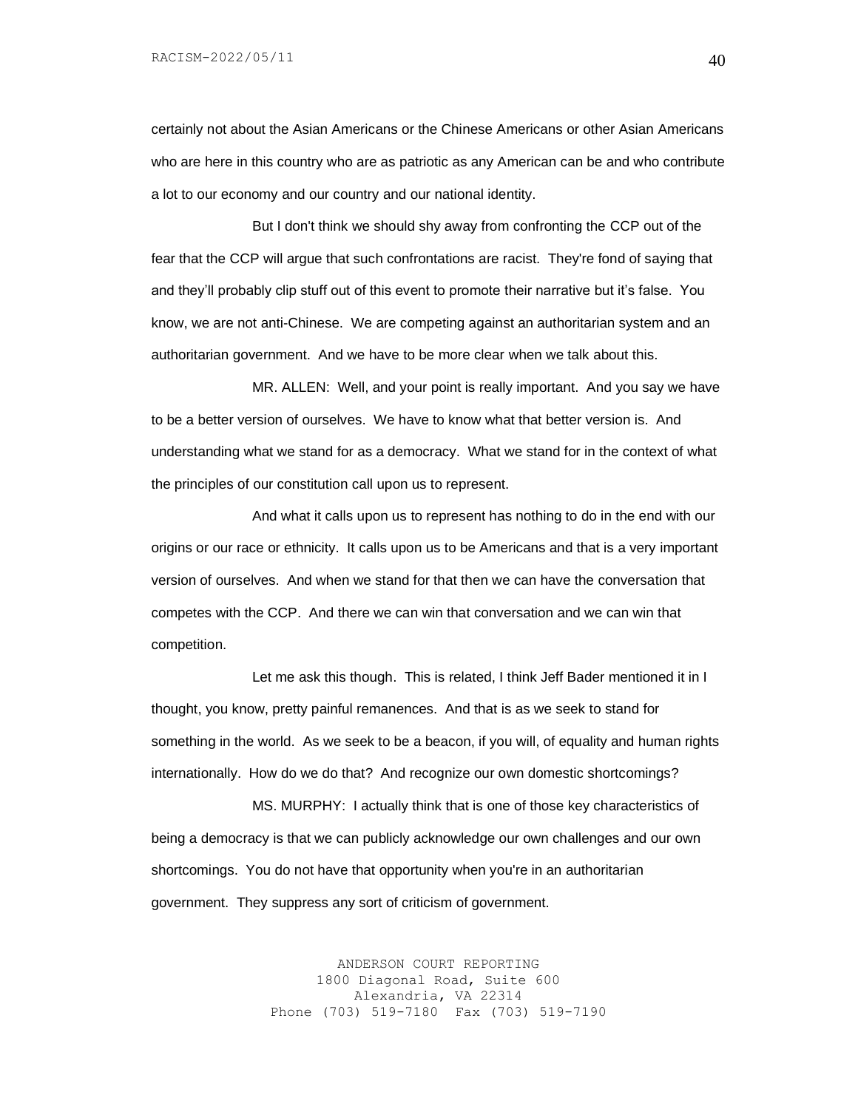certainly not about the Asian Americans or the Chinese Americans or other Asian Americans who are here in this country who are as patriotic as any American can be and who contribute a lot to our economy and our country and our national identity.

But I don't think we should shy away from confronting the CCP out of the fear that the CCP will argue that such confrontations are racist. They're fond of saying that and they'll probably clip stuff out of this event to promote their narrative but it's false. You know, we are not anti-Chinese. We are competing against an authoritarian system and an authoritarian government. And we have to be more clear when we talk about this.

MR. ALLEN: Well, and your point is really important. And you say we have to be a better version of ourselves. We have to know what that better version is. And understanding what we stand for as a democracy. What we stand for in the context of what the principles of our constitution call upon us to represent.

And what it calls upon us to represent has nothing to do in the end with our origins or our race or ethnicity. It calls upon us to be Americans and that is a very important version of ourselves. And when we stand for that then we can have the conversation that competes with the CCP. And there we can win that conversation and we can win that competition.

Let me ask this though. This is related, I think Jeff Bader mentioned it in I thought, you know, pretty painful remanences. And that is as we seek to stand for something in the world. As we seek to be a beacon, if you will, of equality and human rights internationally. How do we do that? And recognize our own domestic shortcomings?

MS. MURPHY: I actually think that is one of those key characteristics of being a democracy is that we can publicly acknowledge our own challenges and our own shortcomings. You do not have that opportunity when you're in an authoritarian government. They suppress any sort of criticism of government.

> ANDERSON COURT REPORTING 1800 Diagonal Road, Suite 600 Alexandria, VA 22314 Phone (703) 519-7180 Fax (703) 519-7190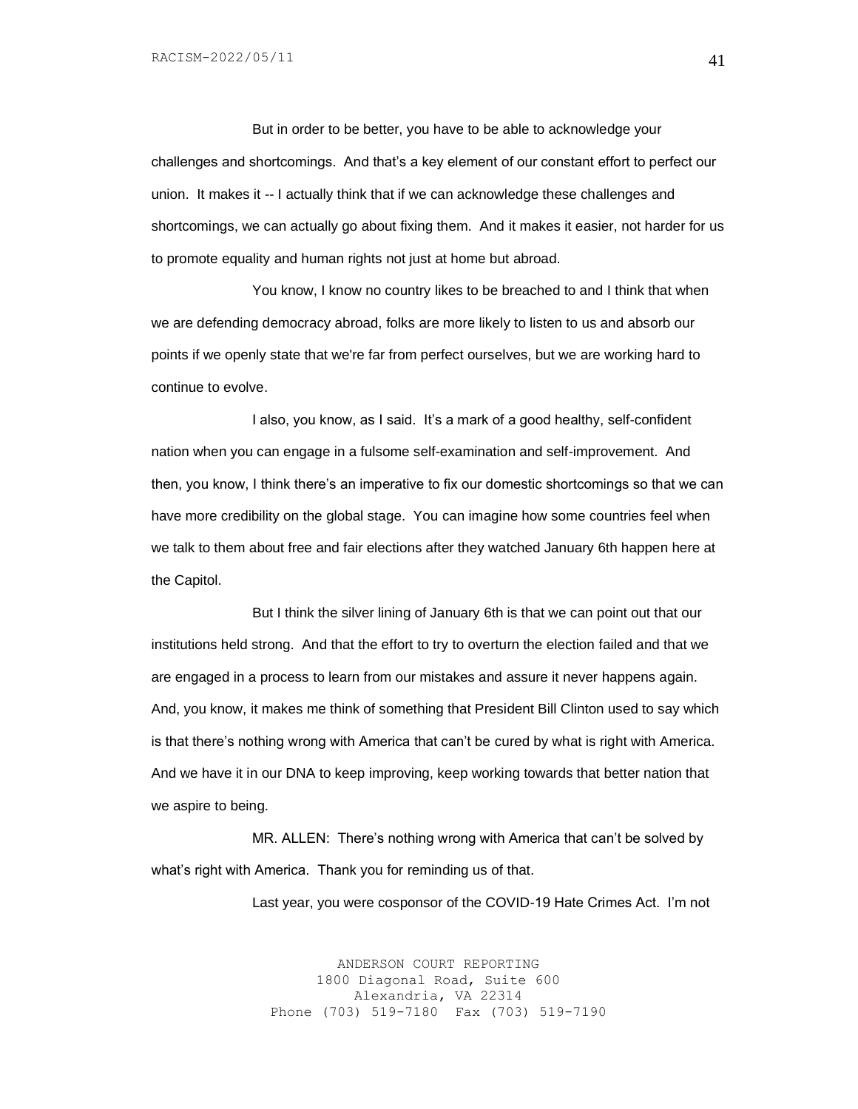But in order to be better, you have to be able to acknowledge your challenges and shortcomings. And that's a key element of our constant effort to perfect our union. It makes it -- I actually think that if we can acknowledge these challenges and shortcomings, we can actually go about fixing them. And it makes it easier, not harder for us to promote equality and human rights not just at home but abroad.

You know, I know no country likes to be breached to and I think that when we are defending democracy abroad, folks are more likely to listen to us and absorb our points if we openly state that we're far from perfect ourselves, but we are working hard to continue to evolve.

I also, you know, as I said. It's a mark of a good healthy, self-confident nation when you can engage in a fulsome self-examination and self-improvement. And then, you know, I think there's an imperative to fix our domestic shortcomings so that we can have more credibility on the global stage. You can imagine how some countries feel when we talk to them about free and fair elections after they watched January 6th happen here at the Capitol.

But I think the silver lining of January 6th is that we can point out that our institutions held strong. And that the effort to try to overturn the election failed and that we are engaged in a process to learn from our mistakes and assure it never happens again. And, you know, it makes me think of something that President Bill Clinton used to say which is that there's nothing wrong with America that can't be cured by what is right with America. And we have it in our DNA to keep improving, keep working towards that better nation that we aspire to being.

MR. ALLEN: There's nothing wrong with America that can't be solved by what's right with America. Thank you for reminding us of that.

Last year, you were cosponsor of the COVID-19 Hate Crimes Act. I'm not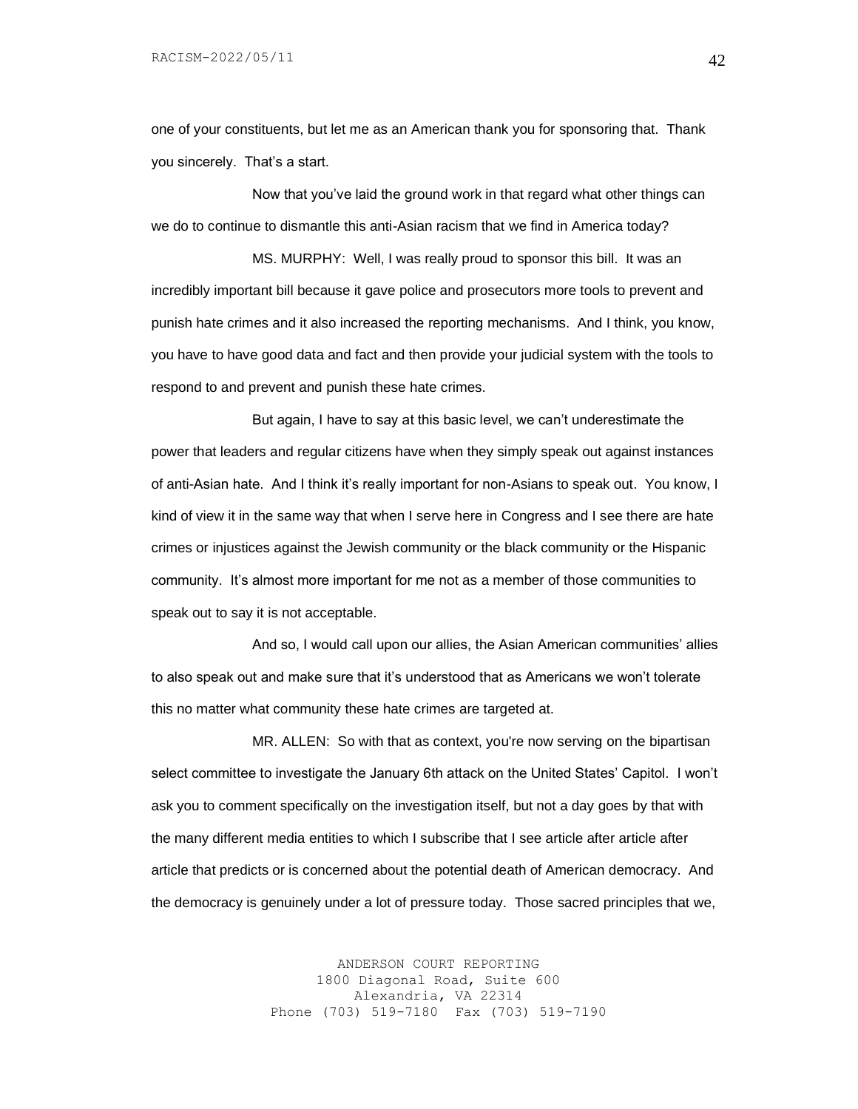one of your constituents, but let me as an American thank you for sponsoring that. Thank you sincerely. That's a start.

Now that you've laid the ground work in that regard what other things can we do to continue to dismantle this anti-Asian racism that we find in America today?

MS. MURPHY: Well, I was really proud to sponsor this bill. It was an incredibly important bill because it gave police and prosecutors more tools to prevent and punish hate crimes and it also increased the reporting mechanisms. And I think, you know, you have to have good data and fact and then provide your judicial system with the tools to respond to and prevent and punish these hate crimes.

But again, I have to say at this basic level, we can't underestimate the power that leaders and regular citizens have when they simply speak out against instances of anti-Asian hate. And I think it's really important for non-Asians to speak out. You know, I kind of view it in the same way that when I serve here in Congress and I see there are hate crimes or injustices against the Jewish community or the black community or the Hispanic community. It's almost more important for me not as a member of those communities to speak out to say it is not acceptable.

And so, I would call upon our allies, the Asian American communities' allies to also speak out and make sure that it's understood that as Americans we won't tolerate this no matter what community these hate crimes are targeted at.

MR. ALLEN: So with that as context, you're now serving on the bipartisan select committee to investigate the January 6th attack on the United States' Capitol. I won't ask you to comment specifically on the investigation itself, but not a day goes by that with the many different media entities to which I subscribe that I see article after article after article that predicts or is concerned about the potential death of American democracy. And the democracy is genuinely under a lot of pressure today. Those sacred principles that we,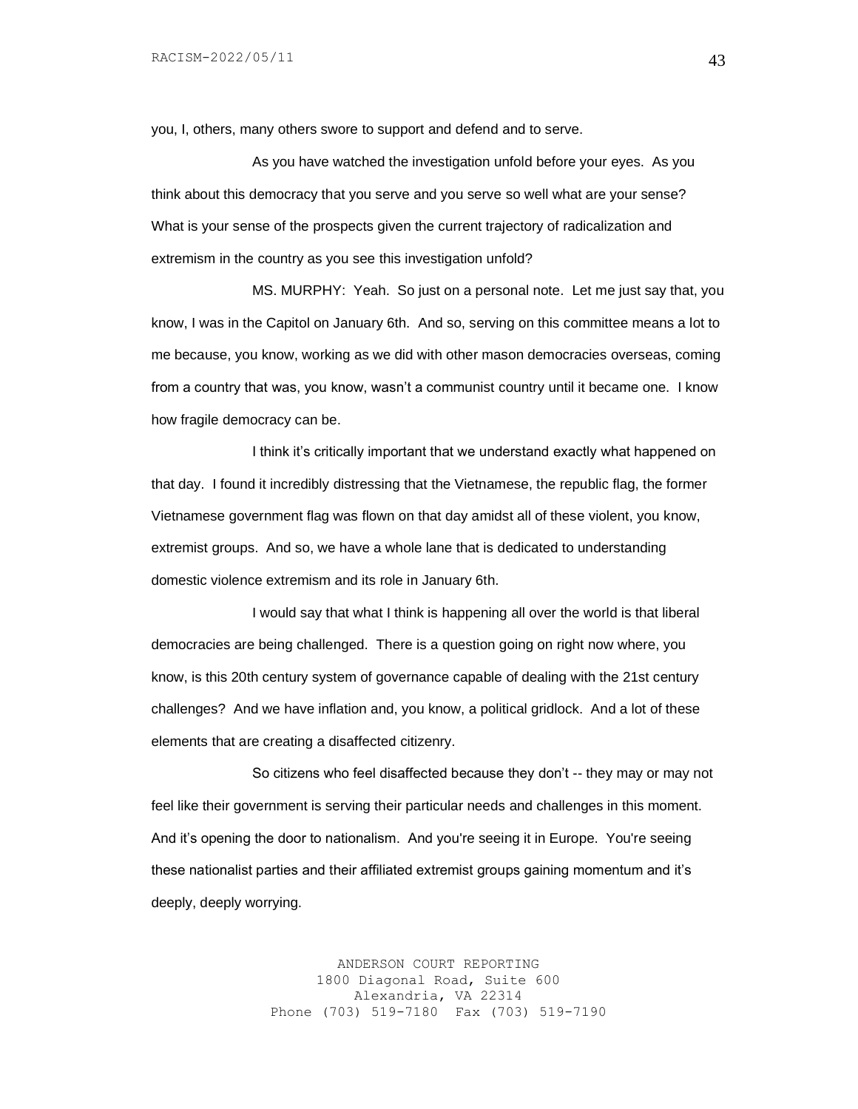you, I, others, many others swore to support and defend and to serve.

As you have watched the investigation unfold before your eyes. As you think about this democracy that you serve and you serve so well what are your sense? What is your sense of the prospects given the current trajectory of radicalization and extremism in the country as you see this investigation unfold?

MS. MURPHY: Yeah. So just on a personal note. Let me just say that, you know, I was in the Capitol on January 6th. And so, serving on this committee means a lot to me because, you know, working as we did with other mason democracies overseas, coming from a country that was, you know, wasn't a communist country until it became one. I know how fragile democracy can be.

I think it's critically important that we understand exactly what happened on that day. I found it incredibly distressing that the Vietnamese, the republic flag, the former Vietnamese government flag was flown on that day amidst all of these violent, you know, extremist groups. And so, we have a whole lane that is dedicated to understanding domestic violence extremism and its role in January 6th.

I would say that what I think is happening all over the world is that liberal democracies are being challenged. There is a question going on right now where, you know, is this 20th century system of governance capable of dealing with the 21st century challenges? And we have inflation and, you know, a political gridlock. And a lot of these elements that are creating a disaffected citizenry.

So citizens who feel disaffected because they don't -- they may or may not feel like their government is serving their particular needs and challenges in this moment. And it's opening the door to nationalism. And you're seeing it in Europe. You're seeing these nationalist parties and their affiliated extremist groups gaining momentum and it's deeply, deeply worrying.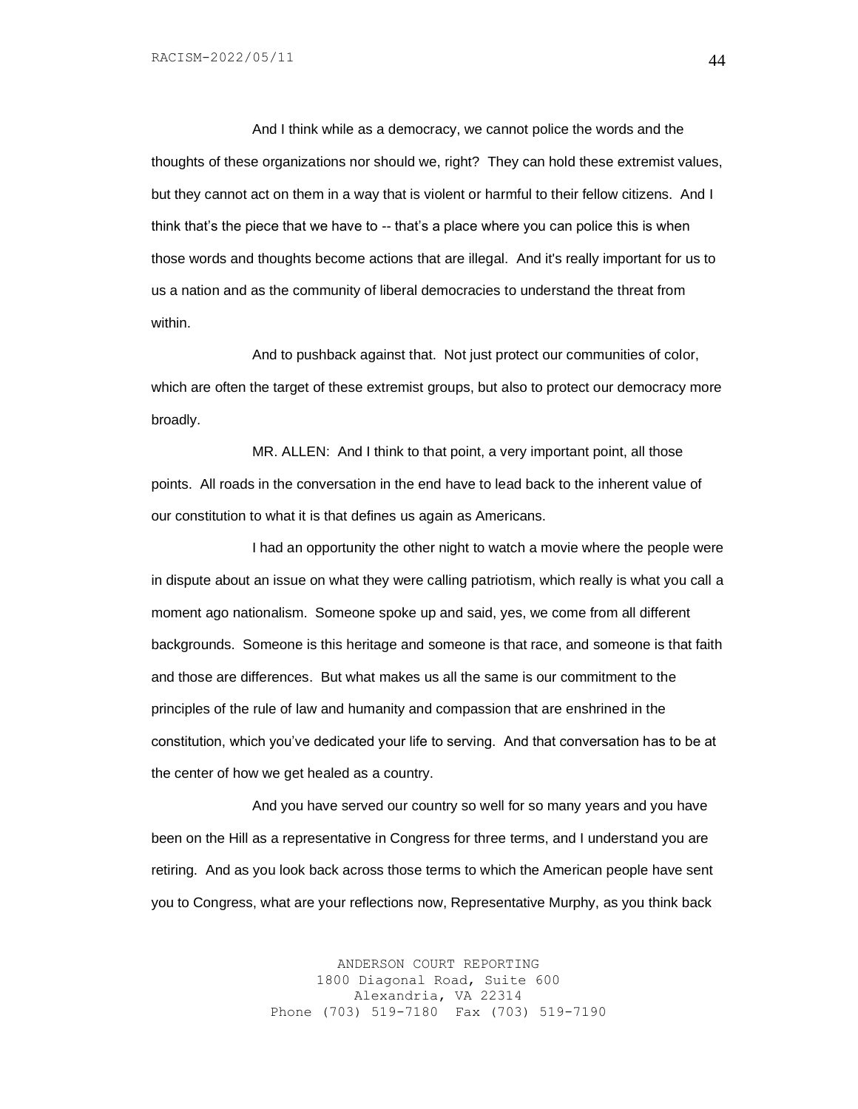And I think while as a democracy, we cannot police the words and the thoughts of these organizations nor should we, right? They can hold these extremist values, but they cannot act on them in a way that is violent or harmful to their fellow citizens. And I think that's the piece that we have to -- that's a place where you can police this is when those words and thoughts become actions that are illegal. And it's really important for us to us a nation and as the community of liberal democracies to understand the threat from within.

And to pushback against that. Not just protect our communities of color, which are often the target of these extremist groups, but also to protect our democracy more broadly.

MR. ALLEN: And I think to that point, a very important point, all those points. All roads in the conversation in the end have to lead back to the inherent value of our constitution to what it is that defines us again as Americans.

I had an opportunity the other night to watch a movie where the people were in dispute about an issue on what they were calling patriotism, which really is what you call a moment ago nationalism. Someone spoke up and said, yes, we come from all different backgrounds. Someone is this heritage and someone is that race, and someone is that faith and those are differences. But what makes us all the same is our commitment to the principles of the rule of law and humanity and compassion that are enshrined in the constitution, which you've dedicated your life to serving. And that conversation has to be at the center of how we get healed as a country.

And you have served our country so well for so many years and you have been on the Hill as a representative in Congress for three terms, and I understand you are retiring. And as you look back across those terms to which the American people have sent you to Congress, what are your reflections now, Representative Murphy, as you think back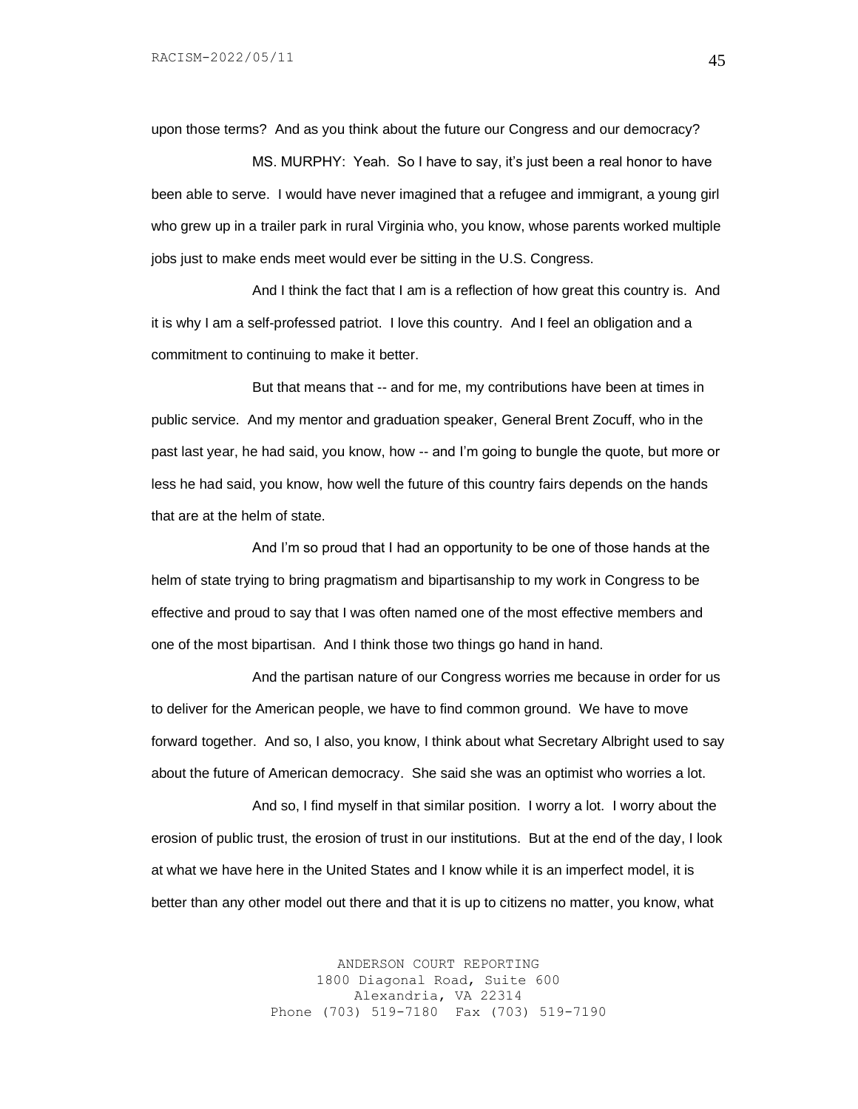upon those terms? And as you think about the future our Congress and our democracy?

MS. MURPHY: Yeah. So I have to say, it's just been a real honor to have been able to serve. I would have never imagined that a refugee and immigrant, a young girl who grew up in a trailer park in rural Virginia who, you know, whose parents worked multiple jobs just to make ends meet would ever be sitting in the U.S. Congress.

And I think the fact that I am is a reflection of how great this country is. And it is why I am a self-professed patriot. I love this country. And I feel an obligation and a commitment to continuing to make it better.

But that means that -- and for me, my contributions have been at times in public service. And my mentor and graduation speaker, General Brent Zocuff, who in the past last year, he had said, you know, how -- and I'm going to bungle the quote, but more or less he had said, you know, how well the future of this country fairs depends on the hands that are at the helm of state.

And I'm so proud that I had an opportunity to be one of those hands at the helm of state trying to bring pragmatism and bipartisanship to my work in Congress to be effective and proud to say that I was often named one of the most effective members and one of the most bipartisan. And I think those two things go hand in hand.

And the partisan nature of our Congress worries me because in order for us to deliver for the American people, we have to find common ground. We have to move forward together. And so, I also, you know, I think about what Secretary Albright used to say about the future of American democracy. She said she was an optimist who worries a lot.

And so, I find myself in that similar position. I worry a lot. I worry about the erosion of public trust, the erosion of trust in our institutions. But at the end of the day, I look at what we have here in the United States and I know while it is an imperfect model, it is better than any other model out there and that it is up to citizens no matter, you know, what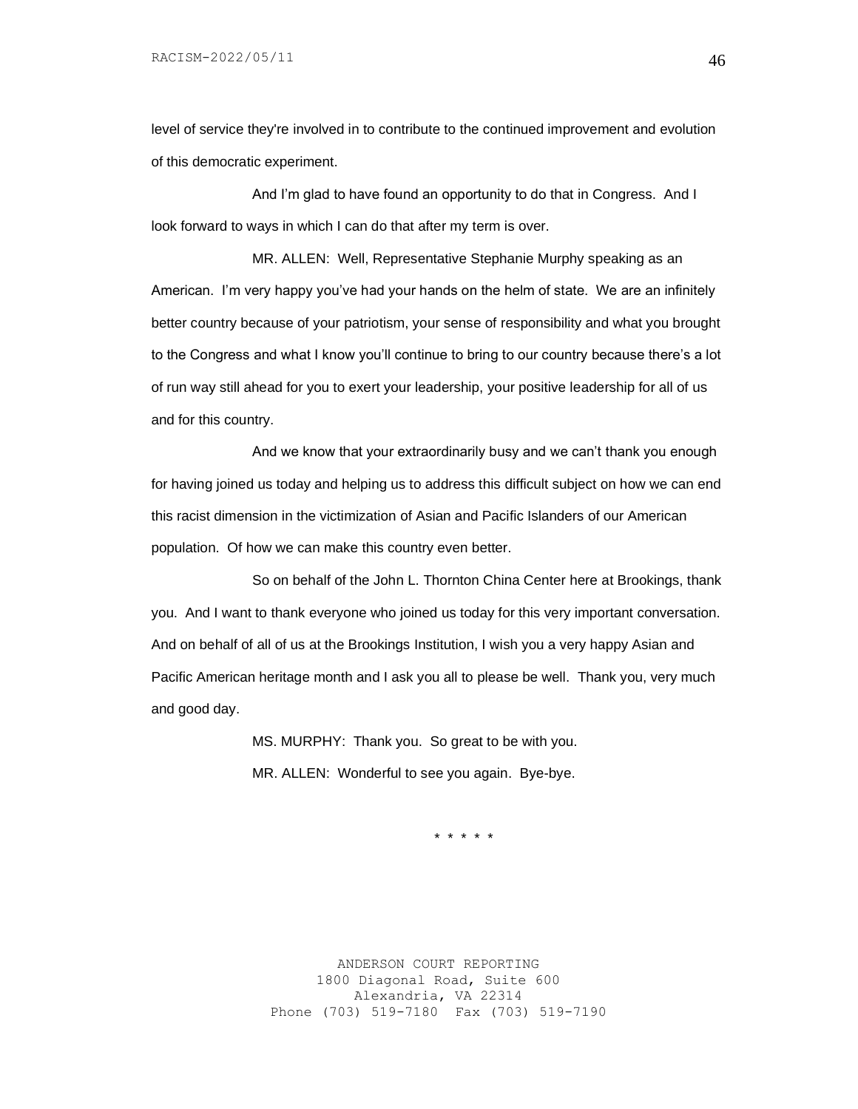level of service they're involved in to contribute to the continued improvement and evolution of this democratic experiment.

And I'm glad to have found an opportunity to do that in Congress. And I look forward to ways in which I can do that after my term is over.

MR. ALLEN: Well, Representative Stephanie Murphy speaking as an American. I'm very happy you've had your hands on the helm of state. We are an infinitely better country because of your patriotism, your sense of responsibility and what you brought to the Congress and what I know you'll continue to bring to our country because there's a lot of run way still ahead for you to exert your leadership, your positive leadership for all of us and for this country.

And we know that your extraordinarily busy and we can't thank you enough for having joined us today and helping us to address this difficult subject on how we can end this racist dimension in the victimization of Asian and Pacific Islanders of our American population. Of how we can make this country even better.

So on behalf of the John L. Thornton China Center here at Brookings, thank you. And I want to thank everyone who joined us today for this very important conversation. And on behalf of all of us at the Brookings Institution, I wish you a very happy Asian and Pacific American heritage month and I ask you all to please be well. Thank you, very much and good day.

> MS. MURPHY: Thank you. So great to be with you. MR. ALLEN: Wonderful to see you again. Bye-bye.

> > \* \* \* \* \*

ANDERSON COURT REPORTING 1800 Diagonal Road, Suite 600 Alexandria, VA 22314 Phone (703) 519-7180 Fax (703) 519-7190